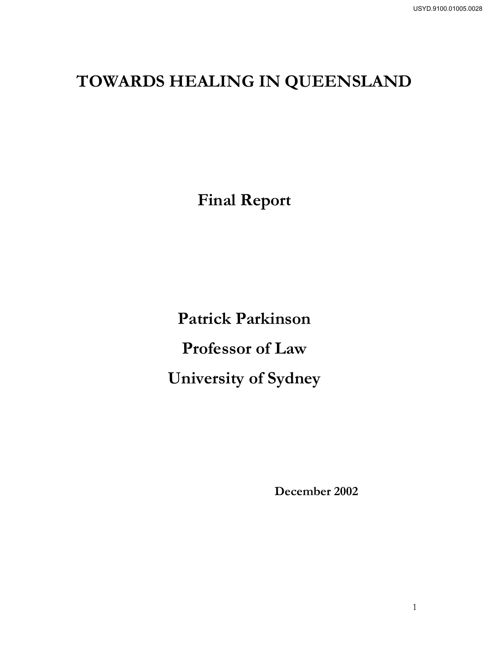# **TOWARDS HEALING IN QUEENSLAND**

**Final Report** 

**Patrick Parkinson Professor of Law University of Sydney** 

 **December 2002**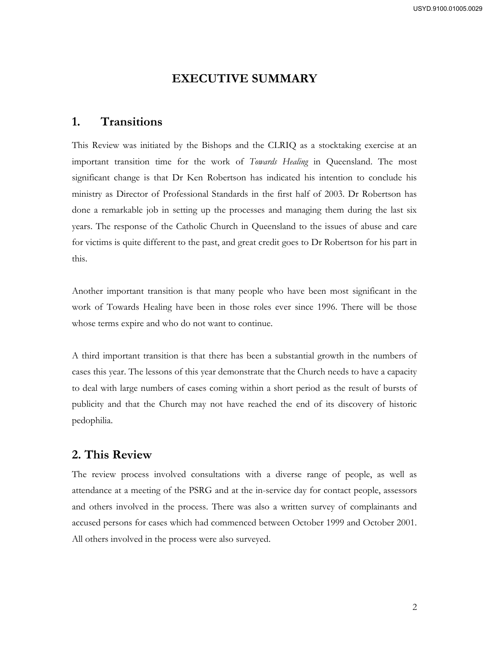# **EXECUTIVE SUMMARY**

# **1. Transitions**

This Review was initiated by the Bishops and the CLRIQ as a stocktaking exercise at an important transition time for the work of *Towards Healing* in Queensland. The most significant change is that Dr Ken Robertson has indicated his intention to conclude his ministry as Director of Professional Standards in the first half of 2003. Dr Robertson has done a remarkable job in setting up the processes and managing them during the last six years. The response of the Catholic Church in Queensland to the issues of abuse and care for victims is quite different to the past, and great credit goes to Dr Robertson for his part in this.

Another important transition is that many people who have been most significant in the work of Towards Healing have been in those roles ever since 1996. There will be those whose terms expire and who do not want to continue.

A third important transition is that there has been a substantial growth in the numbers of cases this year. The lessons of this year demonstrate that the Church needs to have a capacity to deal with large numbers of cases coming within a short period as the result of bursts of publicity and that the Church may not have reached the end of its discovery of historic pedophilia.

# **2. This Review**

The review process involved consultations with a diverse range of people, as well as attendance at a meeting of the PSRG and at the in-service day for contact people, assessors and others involved in the process. There was also a written survey of complainants and accused persons for cases which had commenced between October 1999 and October 2001. All others involved in the process were also surveyed.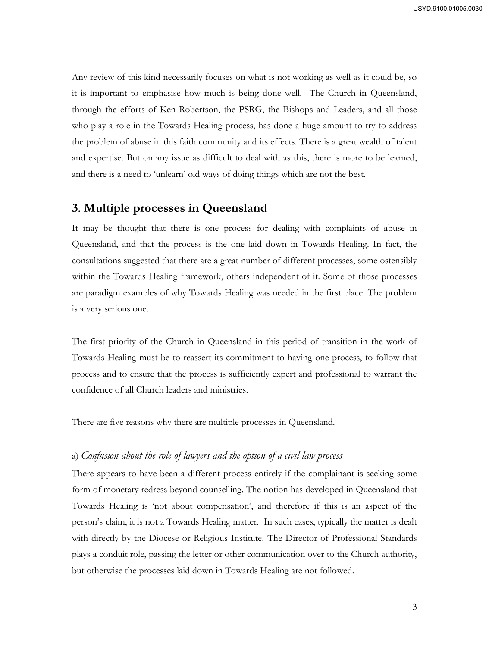Any review of this kind necessarily focuses on what is not working as well as it could be, so it is important to emphasise how much is being done well. The Church in Queensland, through the efforts of Ken Robertson, the PSRG, the Bishops and Leaders, and all those who play a role in the Towards Healing process, has done a huge amount to try to address the problem of abuse in this faith community and its effects. There is a great wealth of talent and expertise. But on any issue as difficult to deal with as this, there is more to be learned, and there is a need to 'unlearn' old ways of doing things which are not the best.

# **3**. **Multiple processes in Queensland**

It may be thought that there is one process for dealing with complaints of abuse in Queensland, and that the process is the one laid down in Towards Healing. In fact, the consultations suggested that there are a great number of different processes, some ostensibly within the Towards Healing framework, others independent of it. Some of those processes are paradigm examples of why Towards Healing was needed in the first place. The problem is a very serious one.

The first priority of the Church in Queensland in this period of transition in the work of Towards Healing must be to reassert its commitment to having one process, to follow that process and to ensure that the process is sufficiently expert and professional to warrant the confidence of all Church leaders and ministries.

There are five reasons why there are multiple processes in Queensland.

# a) *Confusion about the role of lawyers and the option of a civil law process*

There appears to have been a different process entirely if the complainant is seeking some form of monetary redress beyond counselling. The notion has developed in Queensland that Towards Healing is 'not about compensation', and therefore if this is an aspect of the person's claim, it is not a Towards Healing matter. In such cases, typically the matter is dealt with directly by the Diocese or Religious Institute. The Director of Professional Standards plays a conduit role, passing the letter or other communication over to the Church authority, but otherwise the processes laid down in Towards Healing are not followed.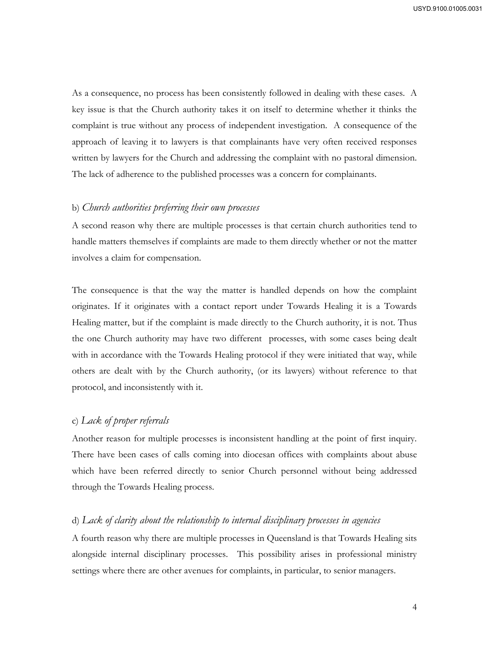As a consequence, no process has been consistently followed in dealing with these cases. A key issue is that the Church authority takes it on itself to determine whether it thinks the complaint is true without any process of independent investigation. A consequence of the approach of leaving it to lawyers is that complainants have very often received responses written by lawyers for the Church and addressing the complaint with no pastoral dimension. The lack of adherence to the published processes was a concern for complainants.

#### b) *Church authorities preferring their own processes*

A second reason why there are multiple processes is that certain church authorities tend to handle matters themselves if complaints are made to them directly whether or not the matter involves a claim for compensation.

The consequence is that the way the matter is handled depends on how the complaint originates. If it originates with a contact report under Towards Healing it is a Towards Healing matter, but if the complaint is made directly to the Church authority, it is not. Thus the one Church authority may have two different processes, with some cases being dealt with in accordance with the Towards Healing protocol if they were initiated that way, while others are dealt with by the Church authority, (or its lawyers) without reference to that protocol, and inconsistently with it.

# c) *Lack of proper referrals*

Another reason for multiple processes is inconsistent handling at the point of first inquiry. There have been cases of calls coming into diocesan offices with complaints about abuse which have been referred directly to senior Church personnel without being addressed through the Towards Healing process.

## d) *Lack of clarity about the relationship to internal disciplinary processes in agencies*

A fourth reason why there are multiple processes in Queensland is that Towards Healing sits alongside internal disciplinary processes. This possibility arises in professional ministry settings where there are other avenues for complaints, in particular, to senior managers.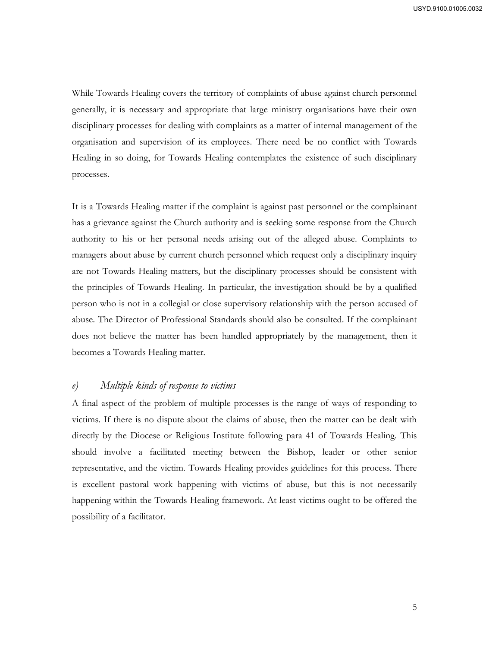While Towards Healing covers the territory of complaints of abuse against church personnel generally, it is necessary and appropriate that large ministry organisations have their own disciplinary processes for dealing with complaints as a matter of internal management of the organisation and supervision of its employees. There need be no conflict with Towards Healing in so doing, for Towards Healing contemplates the existence of such disciplinary processes.

It is a Towards Healing matter if the complaint is against past personnel or the complainant has a grievance against the Church authority and is seeking some response from the Church authority to his or her personal needs arising out of the alleged abuse. Complaints to managers about abuse by current church personnel which request only a disciplinary inquiry are not Towards Healing matters, but the disciplinary processes should be consistent with the principles of Towards Healing. In particular, the investigation should be by a qualified person who is not in a collegial or close supervisory relationship with the person accused of abuse. The Director of Professional Standards should also be consulted. If the complainant does not believe the matter has been handled appropriately by the management, then it becomes a Towards Healing matter.

# *e) Multiple kinds of response to victims*

A final aspect of the problem of multiple processes is the range of ways of responding to victims. If there is no dispute about the claims of abuse, then the matter can be dealt with directly by the Diocese or Religious Institute following para 41 of Towards Healing. This should involve a facilitated meeting between the Bishop, leader or other senior representative, and the victim. Towards Healing provides guidelines for this process. There is excellent pastoral work happening with victims of abuse, but this is not necessarily happening within the Towards Healing framework. At least victims ought to be offered the possibility of a facilitator.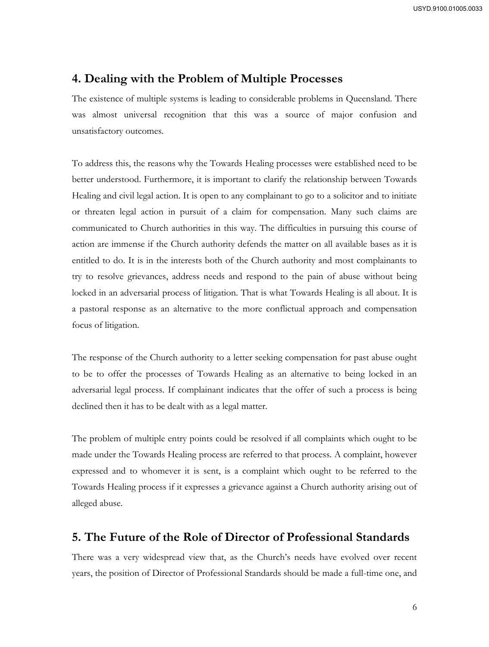# **4. Dealing with the Problem of Multiple Processes**

The existence of multiple systems is leading to considerable problems in Queensland. There was almost universal recognition that this was a source of major confusion and unsatisfactory outcomes.

To address this, the reasons why the Towards Healing processes were established need to be better understood. Furthermore, it is important to clarify the relationship between Towards Healing and civil legal action. It is open to any complainant to go to a solicitor and to initiate or threaten legal action in pursuit of a claim for compensation. Many such claims are communicated to Church authorities in this way. The difficulties in pursuing this course of action are immense if the Church authority defends the matter on all available bases as it is entitled to do. It is in the interests both of the Church authority and most complainants to try to resolve grievances, address needs and respond to the pain of abuse without being locked in an adversarial process of litigation. That is what Towards Healing is all about. It is a pastoral response as an alternative to the more conflictual approach and compensation focus of litigation.

The response of the Church authority to a letter seeking compensation for past abuse ought to be to offer the processes of Towards Healing as an alternative to being locked in an adversarial legal process. If complainant indicates that the offer of such a process is being declined then it has to be dealt with as a legal matter.

The problem of multiple entry points could be resolved if all complaints which ought to be made under the Towards Healing process are referred to that process. A complaint, however expressed and to whomever it is sent, is a complaint which ought to be referred to the Towards Healing process if it expresses a grievance against a Church authority arising out of alleged abuse.

# **5. The Future of the Role of Director of Professional Standards**

There was a very widespread view that, as the Church's needs have evolved over recent years, the position of Director of Professional Standards should be made a full-time one, and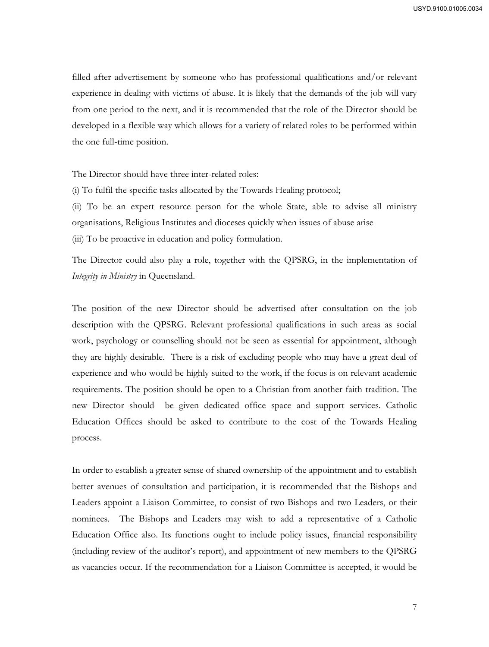filled after advertisement by someone who has professional qualifications and/or relevant experience in dealing with victims of abuse. It is likely that the demands of the job will vary from one period to the next, and it is recommended that the role of the Director should be developed in a flexible way which allows for a variety of related roles to be performed within the one full-time position.

The Director should have three inter-related roles:

(i) To fulfil the specific tasks allocated by the Towards Healing protocol;

(ii) To be an expert resource person for the whole State, able to advise all ministry organisations, Religious Institutes and dioceses quickly when issues of abuse arise (iii) To be proactive in education and policy formulation.

The Director could also play a role, together with the QPSRG, in the implementation of *Integrity in Ministry* in Queensland.

The position of the new Director should be advertised after consultation on the job description with the QPSRG. Relevant professional qualifications in such areas as social work, psychology or counselling should not be seen as essential for appointment, although they are highly desirable. There is a risk of excluding people who may have a great deal of experience and who would be highly suited to the work, if the focus is on relevant academic requirements. The position should be open to a Christian from another faith tradition. The new Director should be given dedicated office space and support services. Catholic Education Offices should be asked to contribute to the cost of the Towards Healing process.

In order to establish a greater sense of shared ownership of the appointment and to establish better avenues of consultation and participation, it is recommended that the Bishops and Leaders appoint a Liaison Committee, to consist of two Bishops and two Leaders, or their nominees. The Bishops and Leaders may wish to add a representative of a Catholic Education Office also. Its functions ought to include policy issues, financial responsibility (including review of the auditor's report), and appointment of new members to the QPSRG as vacancies occur. If the recommendation for a Liaison Committee is accepted, it would be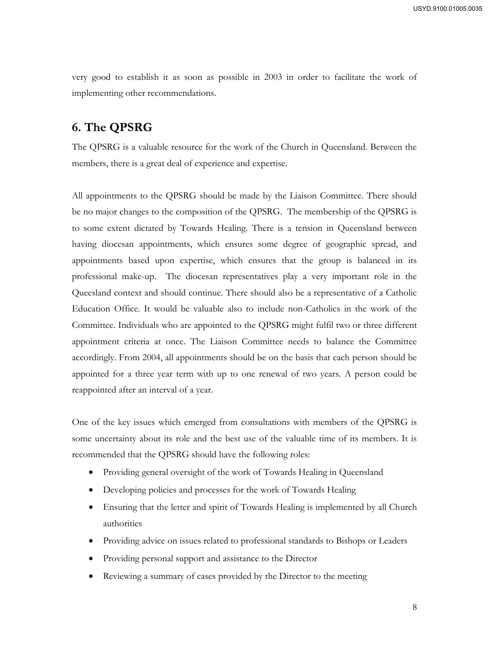very good to establish it as soon as possible in 2003 in order to facilitate the work of implementing other recommendations.

# **6. The QPSRG**

The QPSRG is a valuable resource for the work of the Church in Queensland. Between the members, there is a great deal of experience and expertise.

All appointments to the QPSRG should be made by the Liaison Committee. There should be no major changes to the composition of the QPSRG. The membership of the QPSRG is to some extent dictated by Towards Healing. There is a tension in Queensland between having diocesan appointments, which ensures some degree of geographic spread, and appointments based upon expertise, which ensures that the group is balanced in its professional make-up. The diocesan representatives play a very important role in the Queesland context and should continue. There should also be a representative of a Catholic Education Office. It would be valuable also to include non-Catholics in the work of the Committee. Individuals who are appointed to the QPSRG might fulfil two or three different appointment criteria at once. The Liaison Committee needs to balance the Committee accordingly. From 2004, all appointments should be on the basis that each person should be appointed for a three year term with up to one renewal of two years. A person could be reappointed after an interval of a year.

One of the key issues which emerged from consultations with members of the QPSRG is some uncertainty about its role and the best use of the valuable time of its members. It is recommended that the QPSRG should have the following roles:

- Providing general oversight of the work of Towards Healing in Queensland
- Developing policies and processes for the work of Towards Healing
- Ensuring that the letter and spirit of Towards Healing is implemented by all Church authorities
- Providing advice on issues related to professional standards to Bishops or Leaders
- Providing personal support and assistance to the Director
- Reviewing a summary of cases provided by the Director to the meeting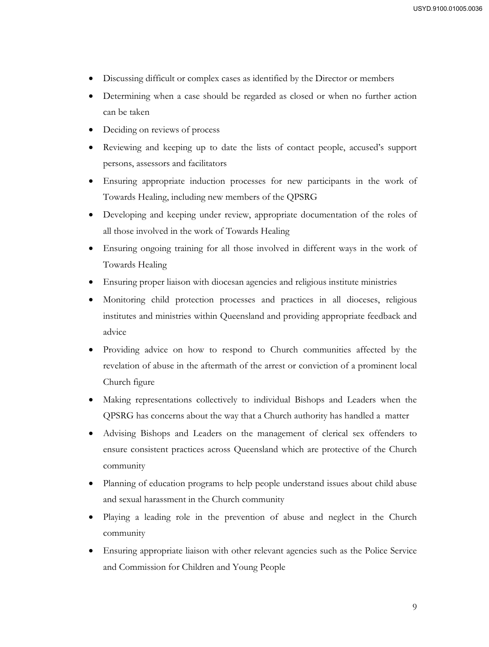- Discussing difficult or complex cases as identified by the Director or members
- Determining when a case should be regarded as closed or when no further action can be taken
- Deciding on reviews of process
- Reviewing and keeping up to date the lists of contact people, accused's support persons, assessors and facilitators
- Ensuring appropriate induction processes for new participants in the work of Towards Healing, including new members of the QPSRG
- Developing and keeping under review, appropriate documentation of the roles of all those involved in the work of Towards Healing
- Ensuring ongoing training for all those involved in different ways in the work of Towards Healing
- Ensuring proper liaison with diocesan agencies and religious institute ministries
- Monitoring child protection processes and practices in all dioceses, religious institutes and ministries within Queensland and providing appropriate feedback and advice
- Providing advice on how to respond to Church communities affected by the revelation of abuse in the aftermath of the arrest or conviction of a prominent local Church figure
- Making representations collectively to individual Bishops and Leaders when the QPSRG has concerns about the way that a Church authority has handled a matter
- Advising Bishops and Leaders on the management of clerical sex offenders to ensure consistent practices across Queensland which are protective of the Church community
- Planning of education programs to help people understand issues about child abuse and sexual harassment in the Church community
- Playing a leading role in the prevention of abuse and neglect in the Church community
- Ensuring appropriate liaison with other relevant agencies such as the Police Service and Commission for Children and Young People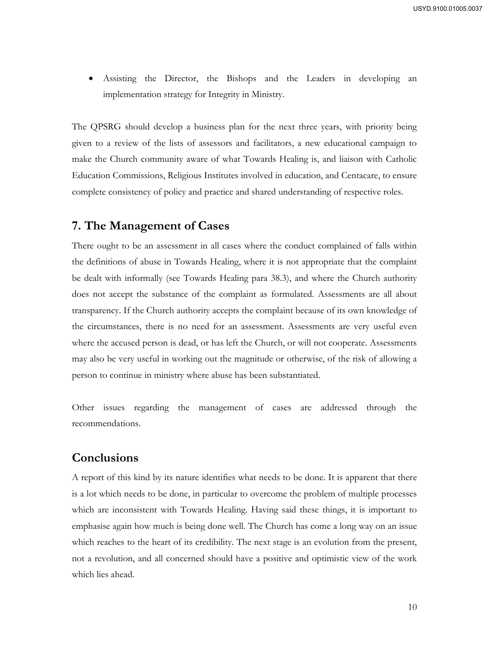Assisting the Director, the Bishops and the Leaders in developing an implementation strategy for Integrity in Ministry.

The QPSRG should develop a business plan for the next three years, with priority being given to a review of the lists of assessors and facilitators, a new educational campaign to make the Church community aware of what Towards Healing is, and liaison with Catholic Education Commissions, Religious Institutes involved in education, and Centacare, to ensure complete consistency of policy and practice and shared understanding of respective roles.

# **7. The Management of Cases**

There ought to be an assessment in all cases where the conduct complained of falls within the definitions of abuse in Towards Healing, where it is not appropriate that the complaint be dealt with informally (see Towards Healing para 38.3), and where the Church authority does not accept the substance of the complaint as formulated. Assessments are all about transparency. If the Church authority accepts the complaint because of its own knowledge of the circumstances, there is no need for an assessment. Assessments are very useful even where the accused person is dead, or has left the Church, or will not cooperate. Assessments may also be very useful in working out the magnitude or otherwise, of the risk of allowing a person to continue in ministry where abuse has been substantiated.

Other issues regarding the management of cases are addressed through the recommendations.

# **Conclusions**

A report of this kind by its nature identifies what needs to be done. It is apparent that there is a lot which needs to be done, in particular to overcome the problem of multiple processes which are inconsistent with Towards Healing. Having said these things, it is important to emphasise again how much is being done well. The Church has come a long way on an issue which reaches to the heart of its credibility. The next stage is an evolution from the present, not a revolution, and all concerned should have a positive and optimistic view of the work which lies ahead.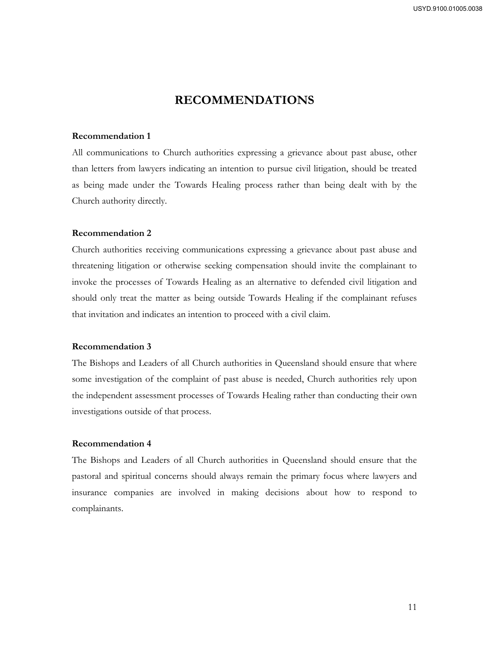# **RECOMMENDATIONS**

#### **Recommendation 1**

All communications to Church authorities expressing a grievance about past abuse, other than letters from lawyers indicating an intention to pursue civil litigation, should be treated as being made under the Towards Healing process rather than being dealt with by the Church authority directly.

#### **Recommendation 2**

Church authorities receiving communications expressing a grievance about past abuse and threatening litigation or otherwise seeking compensation should invite the complainant to invoke the processes of Towards Healing as an alternative to defended civil litigation and should only treat the matter as being outside Towards Healing if the complainant refuses that invitation and indicates an intention to proceed with a civil claim.

#### **Recommendation 3**

The Bishops and Leaders of all Church authorities in Queensland should ensure that where some investigation of the complaint of past abuse is needed, Church authorities rely upon the independent assessment processes of Towards Healing rather than conducting their own investigations outside of that process.

#### **Recommendation 4**

The Bishops and Leaders of all Church authorities in Queensland should ensure that the pastoral and spiritual concerns should always remain the primary focus where lawyers and insurance companies are involved in making decisions about how to respond to complainants.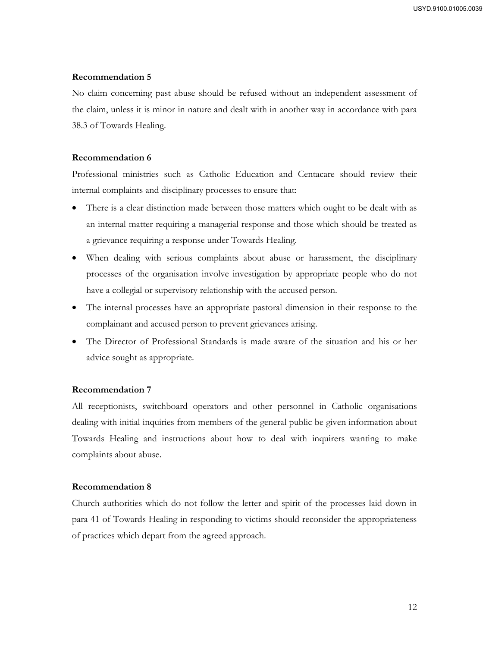No claim concerning past abuse should be refused without an independent assessment of the claim, unless it is minor in nature and dealt with in another way in accordance with para 38.3 of Towards Healing.

#### **Recommendation 6**

Professional ministries such as Catholic Education and Centacare should review their internal complaints and disciplinary processes to ensure that:

- There is a clear distinction made between those matters which ought to be dealt with as an internal matter requiring a managerial response and those which should be treated as a grievance requiring a response under Towards Healing.
- When dealing with serious complaints about abuse or harassment, the disciplinary processes of the organisation involve investigation by appropriate people who do not have a collegial or supervisory relationship with the accused person.
- The internal processes have an appropriate pastoral dimension in their response to the complainant and accused person to prevent grievances arising.
- The Director of Professional Standards is made aware of the situation and his or her advice sought as appropriate.

#### **Recommendation 7**

All receptionists, switchboard operators and other personnel in Catholic organisations dealing with initial inquiries from members of the general public be given information about Towards Healing and instructions about how to deal with inquirers wanting to make complaints about abuse.

#### **Recommendation 8**

Church authorities which do not follow the letter and spirit of the processes laid down in para 41 of Towards Healing in responding to victims should reconsider the appropriateness of practices which depart from the agreed approach.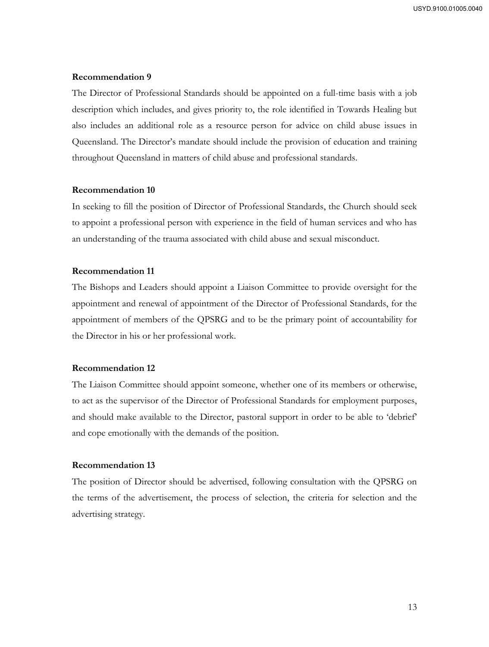The Director of Professional Standards should be appointed on a full-time basis with a job description which includes, and gives priority to, the role identified in Towards Healing but also includes an additional role as a resource person for advice on child abuse issues in Queensland. The Director's mandate should include the provision of education and training throughout Queensland in matters of child abuse and professional standards.

#### **Recommendation 10**

In seeking to fill the position of Director of Professional Standards, the Church should seek to appoint a professional person with experience in the field of human services and who has an understanding of the trauma associated with child abuse and sexual misconduct.

# **Recommendation 11**

The Bishops and Leaders should appoint a Liaison Committee to provide oversight for the appointment and renewal of appointment of the Director of Professional Standards, for the appointment of members of the QPSRG and to be the primary point of accountability for the Director in his or her professional work.

#### **Recommendation 12**

The Liaison Committee should appoint someone, whether one of its members or otherwise, to act as the supervisor of the Director of Professional Standards for employment purposes, and should make available to the Director, pastoral support in order to be able to 'debrief' and cope emotionally with the demands of the position.

#### **Recommendation 13**

The position of Director should be advertised, following consultation with the QPSRG on the terms of the advertisement, the process of selection, the criteria for selection and the advertising strategy.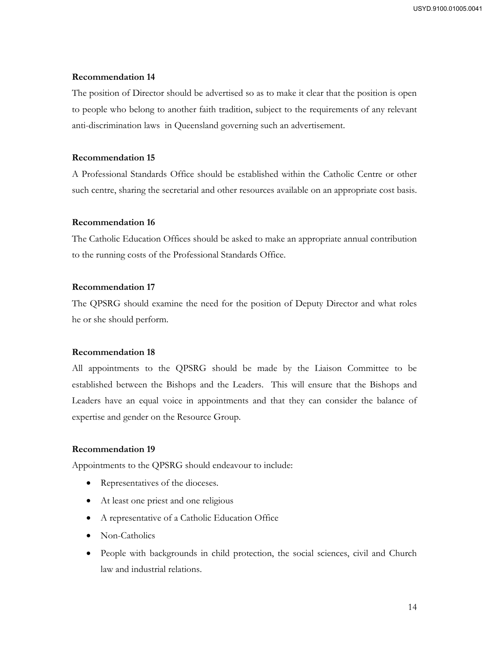The position of Director should be advertised so as to make it clear that the position is open to people who belong to another faith tradition, subject to the requirements of any relevant anti-discrimination laws in Queensland governing such an advertisement.

## **Recommendation 15**

A Professional Standards Office should be established within the Catholic Centre or other such centre, sharing the secretarial and other resources available on an appropriate cost basis.

#### **Recommendation 16**

The Catholic Education Offices should be asked to make an appropriate annual contribution to the running costs of the Professional Standards Office.

# **Recommendation 17**

The QPSRG should examine the need for the position of Deputy Director and what roles he or she should perform.

# **Recommendation 18**

All appointments to the QPSRG should be made by the Liaison Committee to be established between the Bishops and the Leaders. This will ensure that the Bishops and Leaders have an equal voice in appointments and that they can consider the balance of expertise and gender on the Resource Group.

# **Recommendation 19**

Appointments to the QPSRG should endeavour to include:

- Representatives of the dioceses.
- At least one priest and one religious
- A representative of a Catholic Education Office
- Non-Catholics
- People with backgrounds in child protection, the social sciences, civil and Church law and industrial relations.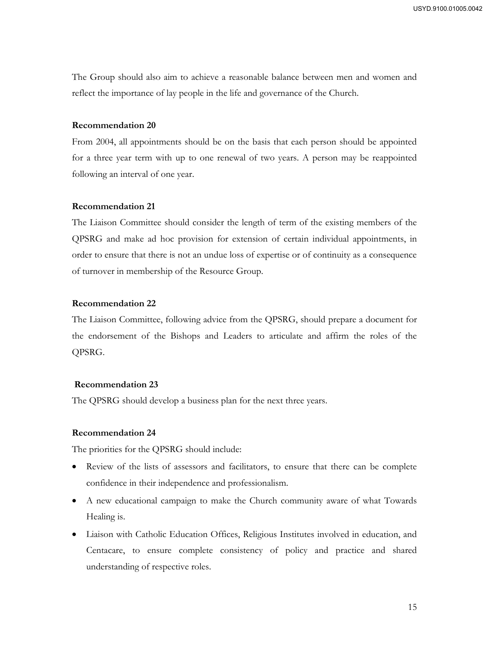The Group should also aim to achieve a reasonable balance between men and women and reflect the importance of lay people in the life and governance of the Church.

#### **Recommendation 20**

From 2004, all appointments should be on the basis that each person should be appointed for a three year term with up to one renewal of two years. A person may be reappointed following an interval of one year.

#### **Recommendation 21**

The Liaison Committee should consider the length of term of the existing members of the QPSRG and make ad hoc provision for extension of certain individual appointments, in order to ensure that there is not an undue loss of expertise or of continuity as a consequence of turnover in membership of the Resource Group.

#### **Recommendation 22**

The Liaison Committee, following advice from the QPSRG, should prepare a document for the endorsement of the Bishops and Leaders to articulate and affirm the roles of the QPSRG.

#### **Recommendation 23**

The QPSRG should develop a business plan for the next three years.

#### **Recommendation 24**

The priorities for the QPSRG should include:

- Review of the lists of assessors and facilitators, to ensure that there can be complete confidence in their independence and professionalism.
- A new educational campaign to make the Church community aware of what Towards Healing is.
- Liaison with Catholic Education Offices, Religious Institutes involved in education, and Centacare, to ensure complete consistency of policy and practice and shared understanding of respective roles.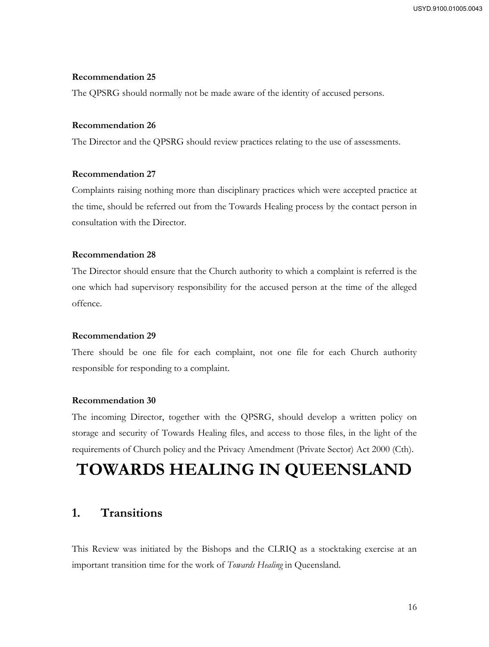The QPSRG should normally not be made aware of the identity of accused persons.

#### **Recommendation 26**

The Director and the QPSRG should review practices relating to the use of assessments.

#### **Recommendation 27**

Complaints raising nothing more than disciplinary practices which were accepted practice at the time, should be referred out from the Towards Healing process by the contact person in consultation with the Director.

#### **Recommendation 28**

The Director should ensure that the Church authority to which a complaint is referred is the one which had supervisory responsibility for the accused person at the time of the alleged offence.

#### **Recommendation 29**

There should be one file for each complaint, not one file for each Church authority responsible for responding to a complaint.

#### **Recommendation 30**

The incoming Director, together with the QPSRG, should develop a written policy on storage and security of Towards Healing files, and access to those files, in the light of the requirements of Church policy and the Privacy Amendment (Private Sector) Act 2000 (Cth).

# **TOWARDS HEALING IN QUEENSLAND**

# **1. Transitions**

This Review was initiated by the Bishops and the CLRIQ as a stocktaking exercise at an important transition time for the work of *Towards Healing* in Queensland.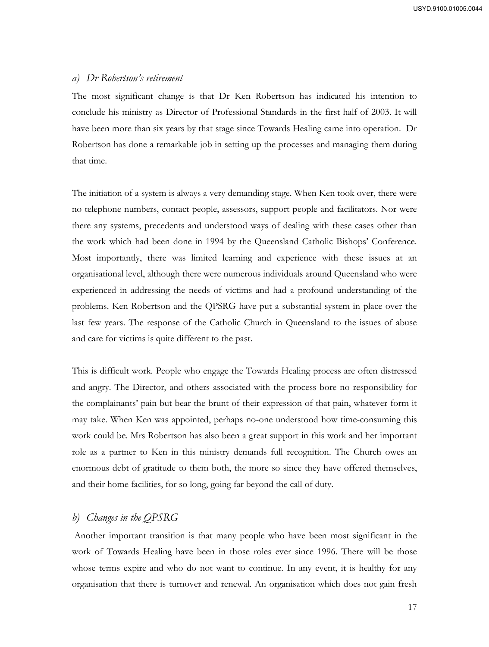## *a) Dr Robertson's retirement*

The most significant change is that Dr Ken Robertson has indicated his intention to conclude his ministry as Director of Professional Standards in the first half of 2003. It will have been more than six years by that stage since Towards Healing came into operation. Dr Robertson has done a remarkable job in setting up the processes and managing them during that time.

The initiation of a system is always a very demanding stage. When Ken took over, there were no telephone numbers, contact people, assessors, support people and facilitators. Nor were there any systems, precedents and understood ways of dealing with these cases other than the work which had been done in 1994 by the Queensland Catholic Bishops' Conference. Most importantly, there was limited learning and experience with these issues at an organisational level, although there were numerous individuals around Queensland who were experienced in addressing the needs of victims and had a profound understanding of the problems. Ken Robertson and the QPSRG have put a substantial system in place over the last few years. The response of the Catholic Church in Queensland to the issues of abuse and care for victims is quite different to the past.

This is difficult work. People who engage the Towards Healing process are often distressed and angry. The Director, and others associated with the process bore no responsibility for the complainants' pain but bear the brunt of their expression of that pain, whatever form it may take. When Ken was appointed, perhaps no-one understood how time-consuming this work could be. Mrs Robertson has also been a great support in this work and her important role as a partner to Ken in this ministry demands full recognition. The Church owes an enormous debt of gratitude to them both, the more so since they have offered themselves, and their home facilities, for so long, going far beyond the call of duty.

# *b) Changes in the QPSRG*

 Another important transition is that many people who have been most significant in the work of Towards Healing have been in those roles ever since 1996. There will be those whose terms expire and who do not want to continue. In any event, it is healthy for any organisation that there is turnover and renewal. An organisation which does not gain fresh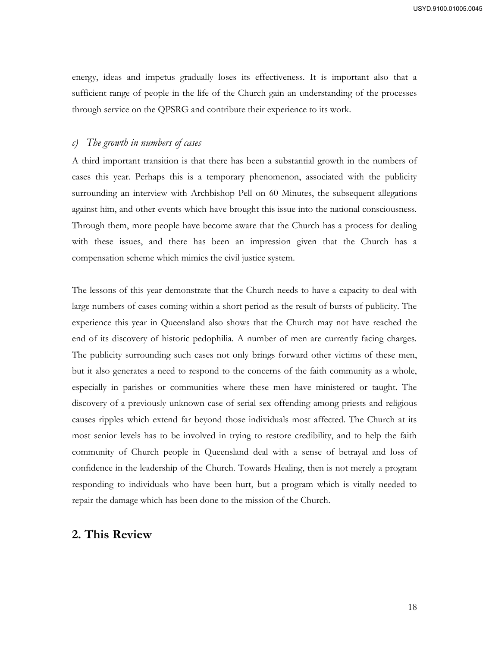energy, ideas and impetus gradually loses its effectiveness. It is important also that a sufficient range of people in the life of the Church gain an understanding of the processes through service on the QPSRG and contribute their experience to its work.

## *c) The growth in numbers of cases*

A third important transition is that there has been a substantial growth in the numbers of cases this year. Perhaps this is a temporary phenomenon, associated with the publicity surrounding an interview with Archbishop Pell on 60 Minutes, the subsequent allegations against him, and other events which have brought this issue into the national consciousness. Through them, more people have become aware that the Church has a process for dealing with these issues, and there has been an impression given that the Church has a compensation scheme which mimics the civil justice system.

The lessons of this year demonstrate that the Church needs to have a capacity to deal with large numbers of cases coming within a short period as the result of bursts of publicity. The experience this year in Queensland also shows that the Church may not have reached the end of its discovery of historic pedophilia. A number of men are currently facing charges. The publicity surrounding such cases not only brings forward other victims of these men, but it also generates a need to respond to the concerns of the faith community as a whole, especially in parishes or communities where these men have ministered or taught. The discovery of a previously unknown case of serial sex offending among priests and religious causes ripples which extend far beyond those individuals most affected. The Church at its most senior levels has to be involved in trying to restore credibility, and to help the faith community of Church people in Queensland deal with a sense of betrayal and loss of confidence in the leadership of the Church. Towards Healing, then is not merely a program responding to individuals who have been hurt, but a program which is vitally needed to repair the damage which has been done to the mission of the Church.

# **2. This Review**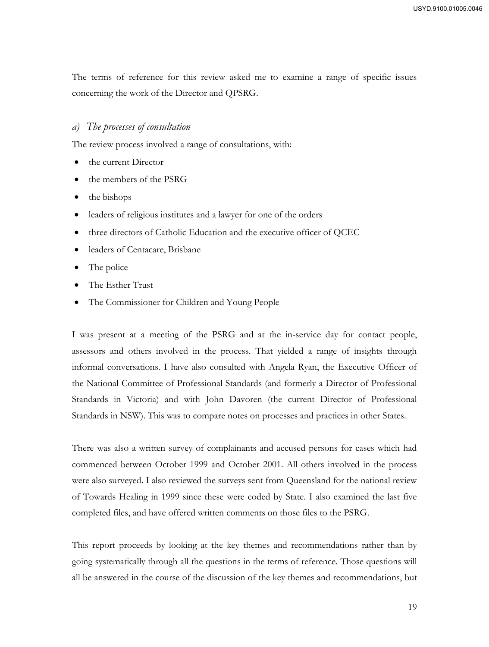The terms of reference for this review asked me to examine a range of specific issues concerning the work of the Director and QPSRG.

#### *a) The processes of consultation*

The review process involved a range of consultations, with:

- the current Director
- the members of the PSRG
- $\bullet$  the bishops
- leaders of religious institutes and a lawyer for one of the orders
- three directors of Catholic Education and the executive officer of QCEC
- leaders of Centacare, Brisbane
- The police
- The Esther Trust
- The Commissioner for Children and Young People

I was present at a meeting of the PSRG and at the in-service day for contact people, assessors and others involved in the process. That yielded a range of insights through informal conversations. I have also consulted with Angela Ryan, the Executive Officer of the National Committee of Professional Standards (and formerly a Director of Professional Standards in Victoria) and with John Davoren (the current Director of Professional Standards in NSW). This was to compare notes on processes and practices in other States.

There was also a written survey of complainants and accused persons for cases which had commenced between October 1999 and October 2001. All others involved in the process were also surveyed. I also reviewed the surveys sent from Queensland for the national review of Towards Healing in 1999 since these were coded by State. I also examined the last five completed files, and have offered written comments on those files to the PSRG.

This report proceeds by looking at the key themes and recommendations rather than by going systematically through all the questions in the terms of reference. Those questions will all be answered in the course of the discussion of the key themes and recommendations, but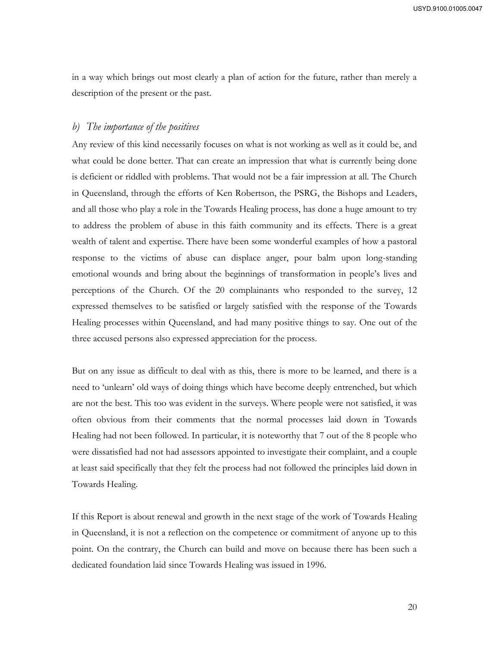in a way which brings out most clearly a plan of action for the future, rather than merely a description of the present or the past.

## *b) The importance of the positives*

Any review of this kind necessarily focuses on what is not working as well as it could be, and what could be done better. That can create an impression that what is currently being done is deficient or riddled with problems. That would not be a fair impression at all. The Church in Queensland, through the efforts of Ken Robertson, the PSRG, the Bishops and Leaders, and all those who play a role in the Towards Healing process, has done a huge amount to try to address the problem of abuse in this faith community and its effects. There is a great wealth of talent and expertise. There have been some wonderful examples of how a pastoral response to the victims of abuse can displace anger, pour balm upon long-standing emotional wounds and bring about the beginnings of transformation in people's lives and perceptions of the Church. Of the 20 complainants who responded to the survey, 12 expressed themselves to be satisfied or largely satisfied with the response of the Towards Healing processes within Queensland, and had many positive things to say. One out of the three accused persons also expressed appreciation for the process.

But on any issue as difficult to deal with as this, there is more to be learned, and there is a need to 'unlearn' old ways of doing things which have become deeply entrenched, but which are not the best. This too was evident in the surveys. Where people were not satisfied, it was often obvious from their comments that the normal processes laid down in Towards Healing had not been followed. In particular, it is noteworthy that 7 out of the 8 people who were dissatisfied had not had assessors appointed to investigate their complaint, and a couple at least said specifically that they felt the process had not followed the principles laid down in Towards Healing.

If this Report is about renewal and growth in the next stage of the work of Towards Healing in Queensland, it is not a reflection on the competence or commitment of anyone up to this point. On the contrary, the Church can build and move on because there has been such a dedicated foundation laid since Towards Healing was issued in 1996.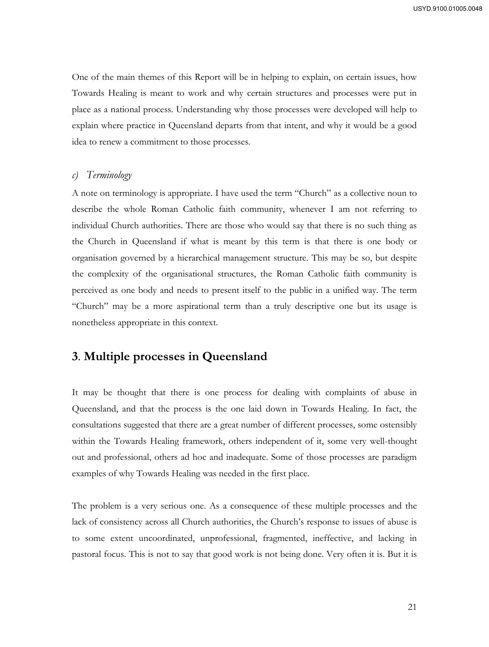One of the main themes of this Report will be in helping to explain, on certain issues, how Towards Healing is meant to work and why certain structures and processes were put in place as a national process. Understanding why those processes were developed will help to explain where practice in Queensland departs from that intent, and why it would be a good idea to renew a commitment to those processes.

#### *c) Terminology*

A note on terminology is appropriate. I have used the term "Church" as a collective noun to describe the whole Roman Catholic faith community, whenever I am not referring to individual Church authorities. There are those who would say that there is no such thing as the Church in Queensland if what is meant by this term is that there is one body or organisation governed by a hierarchical management structure. This may be so, but despite the complexity of the organisational structures, the Roman Catholic faith community is perceived as one body and needs to present itself to the public in a unified way. The term "Church" may be a more aspirational term than a truly descriptive one but its usage is nonetheless appropriate in this context.

# **3**. **Multiple processes in Queensland**

It may be thought that there is one process for dealing with complaints of abuse in Queensland, and that the process is the one laid down in Towards Healing. In fact, the consultations suggested that there are a great number of different processes, some ostensibly within the Towards Healing framework, others independent of it, some very well-thought out and professional, others ad hoc and inadequate. Some of those processes are paradigm examples of why Towards Healing was needed in the first place.

The problem is a very serious one. As a consequence of these multiple processes and the lack of consistency across all Church authorities, the Church's response to issues of abuse is to some extent uncoordinated, unprofessional, fragmented, ineffective, and lacking in pastoral focus. This is not to say that good work is not being done. Very often it is. But it is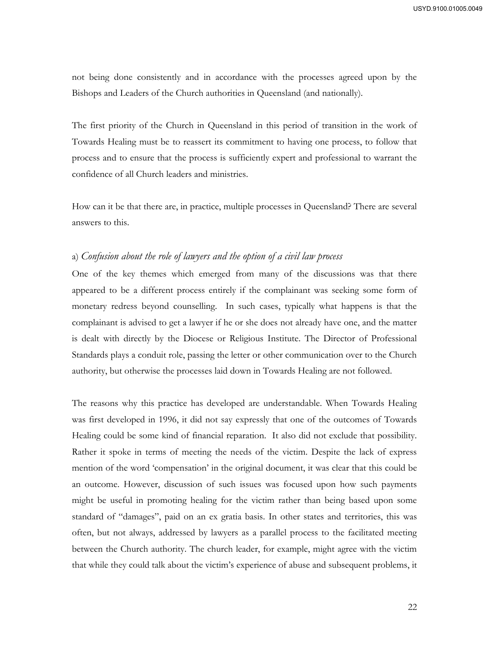not being done consistently and in accordance with the processes agreed upon by the Bishops and Leaders of the Church authorities in Queensland (and nationally).

The first priority of the Church in Queensland in this period of transition in the work of Towards Healing must be to reassert its commitment to having one process, to follow that process and to ensure that the process is sufficiently expert and professional to warrant the confidence of all Church leaders and ministries.

How can it be that there are, in practice, multiple processes in Queensland? There are several answers to this.

#### a) *Confusion about the role of lawyers and the option of a civil law process*

One of the key themes which emerged from many of the discussions was that there appeared to be a different process entirely if the complainant was seeking some form of monetary redress beyond counselling. In such cases, typically what happens is that the complainant is advised to get a lawyer if he or she does not already have one, and the matter is dealt with directly by the Diocese or Religious Institute. The Director of Professional Standards plays a conduit role, passing the letter or other communication over to the Church authority, but otherwise the processes laid down in Towards Healing are not followed.

The reasons why this practice has developed are understandable. When Towards Healing was first developed in 1996, it did not say expressly that one of the outcomes of Towards Healing could be some kind of financial reparation. It also did not exclude that possibility. Rather it spoke in terms of meeting the needs of the victim. Despite the lack of express mention of the word 'compensation' in the original document, it was clear that this could be an outcome. However, discussion of such issues was focused upon how such payments might be useful in promoting healing for the victim rather than being based upon some standard of "damages", paid on an ex gratia basis. In other states and territories, this was often, but not always, addressed by lawyers as a parallel process to the facilitated meeting between the Church authority. The church leader, for example, might agree with the victim that while they could talk about the victim's experience of abuse and subsequent problems, it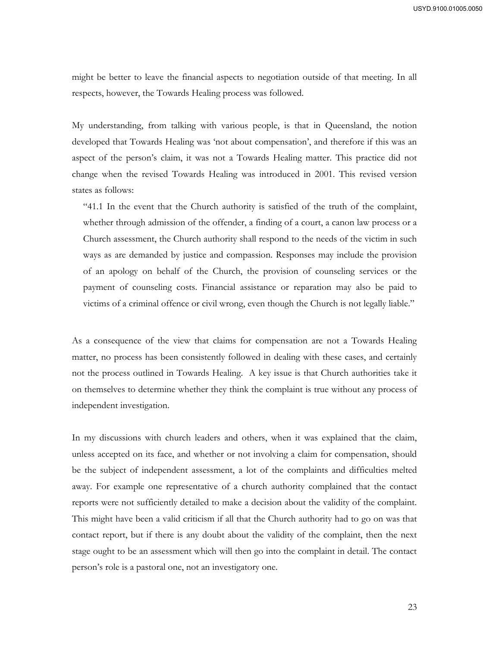might be better to leave the financial aspects to negotiation outside of that meeting. In all respects, however, the Towards Healing process was followed.

My understanding, from talking with various people, is that in Queensland, the notion developed that Towards Healing was 'not about compensation', and therefore if this was an aspect of the person's claim, it was not a Towards Healing matter. This practice did not change when the revised Towards Healing was introduced in 2001. This revised version states as follows:

"41.1 In the event that the Church authority is satisfied of the truth of the complaint, whether through admission of the offender, a finding of a court, a canon law process or a Church assessment, the Church authority shall respond to the needs of the victim in such ways as are demanded by justice and compassion. Responses may include the provision of an apology on behalf of the Church, the provision of counseling services or the payment of counseling costs. Financial assistance or reparation may also be paid to victims of a criminal offence or civil wrong, even though the Church is not legally liable."

As a consequence of the view that claims for compensation are not a Towards Healing matter, no process has been consistently followed in dealing with these cases, and certainly not the process outlined in Towards Healing. A key issue is that Church authorities take it on themselves to determine whether they think the complaint is true without any process of independent investigation.

In my discussions with church leaders and others, when it was explained that the claim, unless accepted on its face, and whether or not involving a claim for compensation, should be the subject of independent assessment, a lot of the complaints and difficulties melted away. For example one representative of a church authority complained that the contact reports were not sufficiently detailed to make a decision about the validity of the complaint. This might have been a valid criticism if all that the Church authority had to go on was that contact report, but if there is any doubt about the validity of the complaint, then the next stage ought to be an assessment which will then go into the complaint in detail. The contact person's role is a pastoral one, not an investigatory one.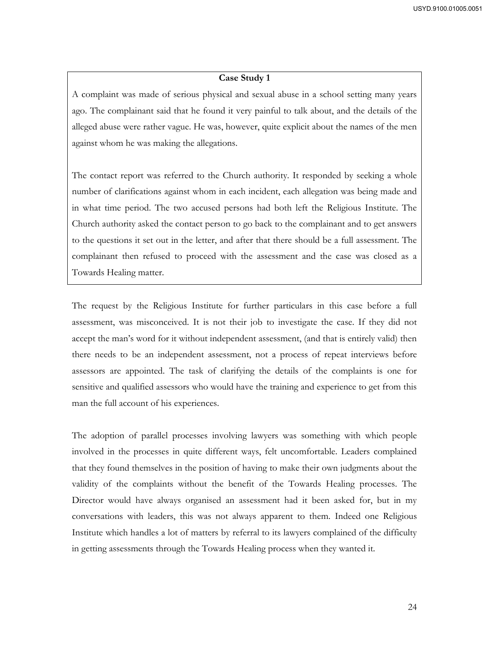#### **Case Study 1**

A complaint was made of serious physical and sexual abuse in a school setting many years ago. The complainant said that he found it very painful to talk about, and the details of the alleged abuse were rather vague. He was, however, quite explicit about the names of the men against whom he was making the allegations.

The contact report was referred to the Church authority. It responded by seeking a whole number of clarifications against whom in each incident, each allegation was being made and in what time period. The two accused persons had both left the Religious Institute. The Church authority asked the contact person to go back to the complainant and to get answers to the questions it set out in the letter, and after that there should be a full assessment. The complainant then refused to proceed with the assessment and the case was closed as a Towards Healing matter.

The request by the Religious Institute for further particulars in this case before a full assessment, was misconceived. It is not their job to investigate the case. If they did not accept the man's word for it without independent assessment, (and that is entirely valid) then there needs to be an independent assessment, not a process of repeat interviews before assessors are appointed. The task of clarifying the details of the complaints is one for sensitive and qualified assessors who would have the training and experience to get from this man the full account of his experiences.

The adoption of parallel processes involving lawyers was something with which people involved in the processes in quite different ways, felt uncomfortable. Leaders complained that they found themselves in the position of having to make their own judgments about the validity of the complaints without the benefit of the Towards Healing processes. The Director would have always organised an assessment had it been asked for, but in my conversations with leaders, this was not always apparent to them. Indeed one Religious Institute which handles a lot of matters by referral to its lawyers complained of the difficulty in getting assessments through the Towards Healing process when they wanted it.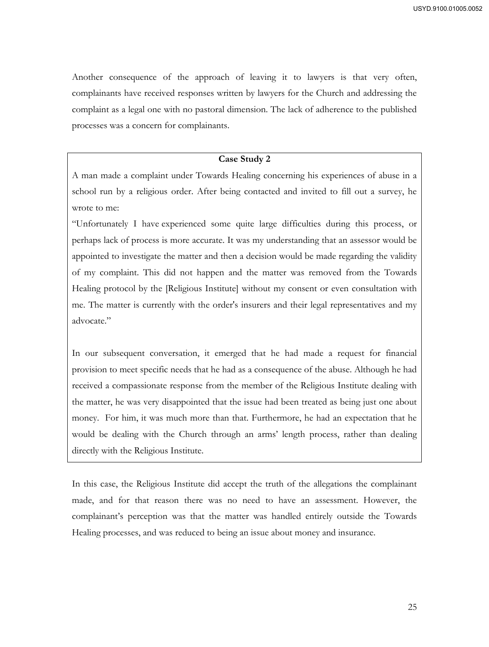Another consequence of the approach of leaving it to lawyers is that very often, complainants have received responses written by lawyers for the Church and addressing the complaint as a legal one with no pastoral dimension. The lack of adherence to the published processes was a concern for complainants.

#### **Case Study 2**

A man made a complaint under Towards Healing concerning his experiences of abuse in a school run by a religious order. After being contacted and invited to fill out a survey, he wrote to me:

"Unfortunately I have experienced some quite large difficulties during this process, or perhaps lack of process is more accurate. It was my understanding that an assessor would be appointed to investigate the matter and then a decision would be made regarding the validity of my complaint. This did not happen and the matter was removed from the Towards Healing protocol by the [Religious Institute] without my consent or even consultation with me. The matter is currently with the order's insurers and their legal representatives and my advocate."

In our subsequent conversation, it emerged that he had made a request for financial provision to meet specific needs that he had as a consequence of the abuse. Although he had received a compassionate response from the member of the Religious Institute dealing with the matter, he was very disappointed that the issue had been treated as being just one about money. For him, it was much more than that. Furthermore, he had an expectation that he would be dealing with the Church through an arms' length process, rather than dealing directly with the Religious Institute.

In this case, the Religious Institute did accept the truth of the allegations the complainant made, and for that reason there was no need to have an assessment. However, the complainant's perception was that the matter was handled entirely outside the Towards Healing processes, and was reduced to being an issue about money and insurance.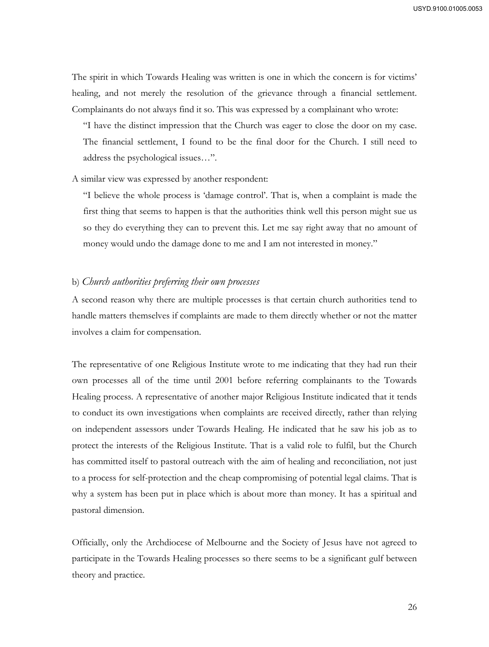The spirit in which Towards Healing was written is one in which the concern is for victims' healing, and not merely the resolution of the grievance through a financial settlement. Complainants do not always find it so. This was expressed by a complainant who wrote:

"I have the distinct impression that the Church was eager to close the door on my case. The financial settlement, I found to be the final door for the Church. I still need to address the psychological issues…".

A similar view was expressed by another respondent:

"I believe the whole process is 'damage control'. That is, when a complaint is made the first thing that seems to happen is that the authorities think well this person might sue us so they do everything they can to prevent this. Let me say right away that no amount of money would undo the damage done to me and I am not interested in money."

#### b) *Church authorities preferring their own processes*

A second reason why there are multiple processes is that certain church authorities tend to handle matters themselves if complaints are made to them directly whether or not the matter involves a claim for compensation.

The representative of one Religious Institute wrote to me indicating that they had run their own processes all of the time until 2001 before referring complainants to the Towards Healing process. A representative of another major Religious Institute indicated that it tends to conduct its own investigations when complaints are received directly, rather than relying on independent assessors under Towards Healing. He indicated that he saw his job as to protect the interests of the Religious Institute. That is a valid role to fulfil, but the Church has committed itself to pastoral outreach with the aim of healing and reconciliation, not just to a process for self-protection and the cheap compromising of potential legal claims. That is why a system has been put in place which is about more than money. It has a spiritual and pastoral dimension.

Officially, only the Archdiocese of Melbourne and the Society of Jesus have not agreed to participate in the Towards Healing processes so there seems to be a significant gulf between theory and practice.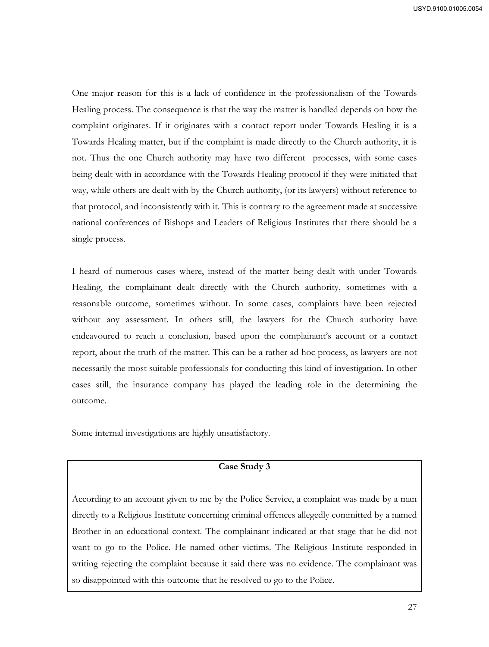One major reason for this is a lack of confidence in the professionalism of the Towards Healing process. The consequence is that the way the matter is handled depends on how the complaint originates. If it originates with a contact report under Towards Healing it is a Towards Healing matter, but if the complaint is made directly to the Church authority, it is not. Thus the one Church authority may have two different processes, with some cases being dealt with in accordance with the Towards Healing protocol if they were initiated that way, while others are dealt with by the Church authority, (or its lawyers) without reference to that protocol, and inconsistently with it. This is contrary to the agreement made at successive national conferences of Bishops and Leaders of Religious Institutes that there should be a single process.

I heard of numerous cases where, instead of the matter being dealt with under Towards Healing, the complainant dealt directly with the Church authority, sometimes with a reasonable outcome, sometimes without. In some cases, complaints have been rejected without any assessment. In others still, the lawyers for the Church authority have endeavoured to reach a conclusion, based upon the complainant's account or a contact report, about the truth of the matter. This can be a rather ad hoc process, as lawyers are not necessarily the most suitable professionals for conducting this kind of investigation. In other cases still, the insurance company has played the leading role in the determining the outcome.

Some internal investigations are highly unsatisfactory.

# **Case Study 3**

According to an account given to me by the Police Service, a complaint was made by a man directly to a Religious Institute concerning criminal offences allegedly committed by a named Brother in an educational context. The complainant indicated at that stage that he did not want to go to the Police. He named other victims. The Religious Institute responded in writing rejecting the complaint because it said there was no evidence. The complainant was so disappointed with this outcome that he resolved to go to the Police.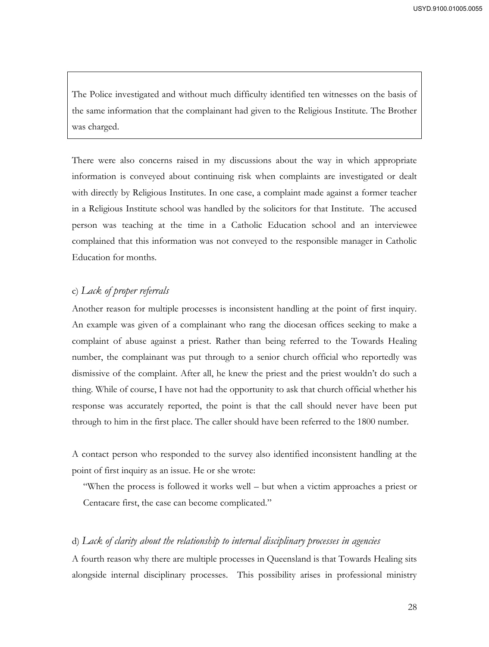The Police investigated and without much difficulty identified ten witnesses on the basis of the same information that the complainant had given to the Religious Institute. The Brother was charged.

There were also concerns raised in my discussions about the way in which appropriate information is conveyed about continuing risk when complaints are investigated or dealt with directly by Religious Institutes. In one case, a complaint made against a former teacher in a Religious Institute school was handled by the solicitors for that Institute. The accused person was teaching at the time in a Catholic Education school and an interviewee complained that this information was not conveyed to the responsible manager in Catholic Education for months.

# c) *Lack of proper referrals*

Another reason for multiple processes is inconsistent handling at the point of first inquiry. An example was given of a complainant who rang the diocesan offices seeking to make a complaint of abuse against a priest. Rather than being referred to the Towards Healing number, the complainant was put through to a senior church official who reportedly was dismissive of the complaint. After all, he knew the priest and the priest wouldn't do such a thing. While of course, I have not had the opportunity to ask that church official whether his response was accurately reported, the point is that the call should never have been put through to him in the first place. The caller should have been referred to the 1800 number.

A contact person who responded to the survey also identified inconsistent handling at the point of first inquiry as an issue. He or she wrote:

"When the process is followed it works well – but when a victim approaches a priest or Centacare first, the case can become complicated."

# d) *Lack of clarity about the relationship to internal disciplinary processes in agencies*

A fourth reason why there are multiple processes in Queensland is that Towards Healing sits alongside internal disciplinary processes. This possibility arises in professional ministry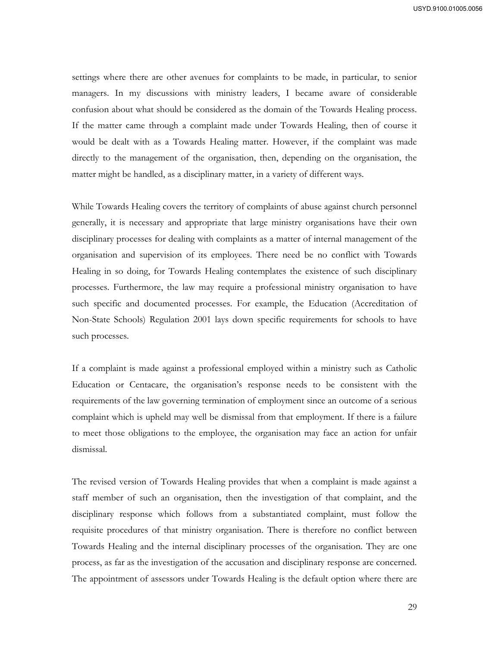settings where there are other avenues for complaints to be made, in particular, to senior managers. In my discussions with ministry leaders, I became aware of considerable confusion about what should be considered as the domain of the Towards Healing process. If the matter came through a complaint made under Towards Healing, then of course it would be dealt with as a Towards Healing matter. However, if the complaint was made directly to the management of the organisation, then, depending on the organisation, the matter might be handled, as a disciplinary matter, in a variety of different ways.

While Towards Healing covers the territory of complaints of abuse against church personnel generally, it is necessary and appropriate that large ministry organisations have their own disciplinary processes for dealing with complaints as a matter of internal management of the organisation and supervision of its employees. There need be no conflict with Towards Healing in so doing, for Towards Healing contemplates the existence of such disciplinary processes. Furthermore, the law may require a professional ministry organisation to have such specific and documented processes. For example, the Education (Accreditation of Non-State Schools) Regulation 2001 lays down specific requirements for schools to have such processes.

If a complaint is made against a professional employed within a ministry such as Catholic Education or Centacare, the organisation's response needs to be consistent with the requirements of the law governing termination of employment since an outcome of a serious complaint which is upheld may well be dismissal from that employment. If there is a failure to meet those obligations to the employee, the organisation may face an action for unfair dismissal.

The revised version of Towards Healing provides that when a complaint is made against a staff member of such an organisation, then the investigation of that complaint, and the disciplinary response which follows from a substantiated complaint, must follow the requisite procedures of that ministry organisation. There is therefore no conflict between Towards Healing and the internal disciplinary processes of the organisation. They are one process, as far as the investigation of the accusation and disciplinary response are concerned. The appointment of assessors under Towards Healing is the default option where there are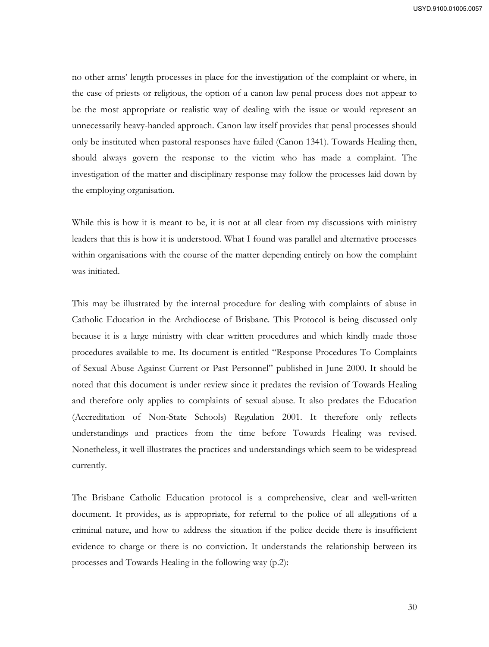USYD.9100.01005.0057

no other arms' length processes in place for the investigation of the complaint or where, in the case of priests or religious, the option of a canon law penal process does not appear to be the most appropriate or realistic way of dealing with the issue or would represent an unnecessarily heavy-handed approach. Canon law itself provides that penal processes should only be instituted when pastoral responses have failed (Canon 1341). Towards Healing then, should always govern the response to the victim who has made a complaint. The investigation of the matter and disciplinary response may follow the processes laid down by the employing organisation.

While this is how it is meant to be, it is not at all clear from my discussions with ministry leaders that this is how it is understood. What I found was parallel and alternative processes within organisations with the course of the matter depending entirely on how the complaint was initiated.

This may be illustrated by the internal procedure for dealing with complaints of abuse in Catholic Education in the Archdiocese of Brisbane. This Protocol is being discussed only because it is a large ministry with clear written procedures and which kindly made those procedures available to me. Its document is entitled "Response Procedures To Complaints of Sexual Abuse Against Current or Past Personnel" published in June 2000. It should be noted that this document is under review since it predates the revision of Towards Healing and therefore only applies to complaints of sexual abuse. It also predates the Education (Accreditation of Non-State Schools) Regulation 2001. It therefore only reflects understandings and practices from the time before Towards Healing was revised. Nonetheless, it well illustrates the practices and understandings which seem to be widespread currently.

The Brisbane Catholic Education protocol is a comprehensive, clear and well-written document. It provides, as is appropriate, for referral to the police of all allegations of a criminal nature, and how to address the situation if the police decide there is insufficient evidence to charge or there is no conviction. It understands the relationship between its processes and Towards Healing in the following way (p.2):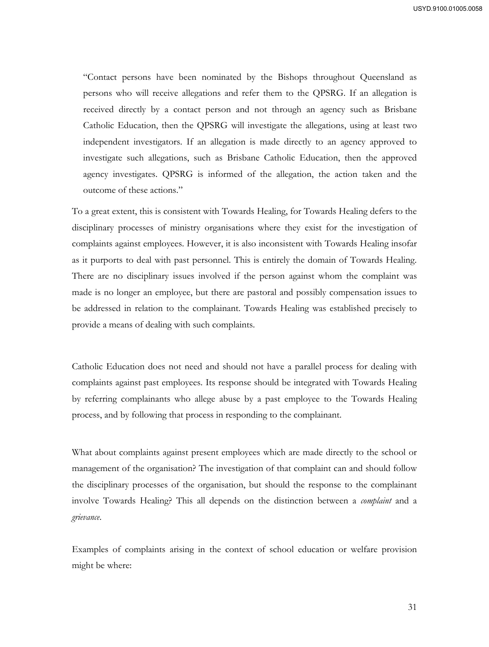"Contact persons have been nominated by the Bishops throughout Queensland as persons who will receive allegations and refer them to the QPSRG. If an allegation is received directly by a contact person and not through an agency such as Brisbane Catholic Education, then the QPSRG will investigate the allegations, using at least two independent investigators. If an allegation is made directly to an agency approved to investigate such allegations, such as Brisbane Catholic Education, then the approved agency investigates. QPSRG is informed of the allegation, the action taken and the outcome of these actions."

To a great extent, this is consistent with Towards Healing, for Towards Healing defers to the disciplinary processes of ministry organisations where they exist for the investigation of complaints against employees. However, it is also inconsistent with Towards Healing insofar as it purports to deal with past personnel. This is entirely the domain of Towards Healing. There are no disciplinary issues involved if the person against whom the complaint was made is no longer an employee, but there are pastoral and possibly compensation issues to be addressed in relation to the complainant. Towards Healing was established precisely to provide a means of dealing with such complaints.

Catholic Education does not need and should not have a parallel process for dealing with complaints against past employees. Its response should be integrated with Towards Healing by referring complainants who allege abuse by a past employee to the Towards Healing process, and by following that process in responding to the complainant.

What about complaints against present employees which are made directly to the school or management of the organisation? The investigation of that complaint can and should follow the disciplinary processes of the organisation, but should the response to the complainant involve Towards Healing? This all depends on the distinction between a *complaint* and a *grievance*.

Examples of complaints arising in the context of school education or welfare provision might be where: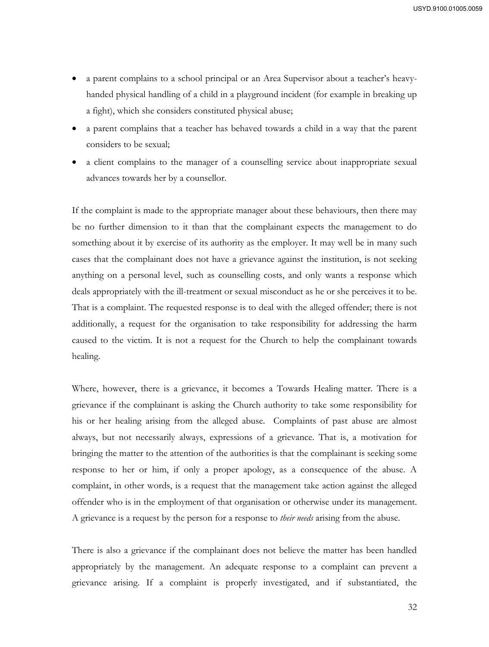- a parent complains to a school principal or an Area Supervisor about a teacher's heavyhanded physical handling of a child in a playground incident (for example in breaking up a fight), which she considers constituted physical abuse;
- a parent complains that a teacher has behaved towards a child in a way that the parent considers to be sexual;
- a client complains to the manager of a counselling service about inappropriate sexual advances towards her by a counsellor.

If the complaint is made to the appropriate manager about these behaviours, then there may be no further dimension to it than that the complainant expects the management to do something about it by exercise of its authority as the employer. It may well be in many such cases that the complainant does not have a grievance against the institution, is not seeking anything on a personal level, such as counselling costs, and only wants a response which deals appropriately with the ill-treatment or sexual misconduct as he or she perceives it to be. That is a complaint. The requested response is to deal with the alleged offender; there is not additionally, a request for the organisation to take responsibility for addressing the harm caused to the victim. It is not a request for the Church to help the complainant towards healing.

Where, however, there is a grievance, it becomes a Towards Healing matter. There is a grievance if the complainant is asking the Church authority to take some responsibility for his or her healing arising from the alleged abuse. Complaints of past abuse are almost always, but not necessarily always, expressions of a grievance. That is, a motivation for bringing the matter to the attention of the authorities is that the complainant is seeking some response to her or him, if only a proper apology, as a consequence of the abuse. A complaint, in other words, is a request that the management take action against the alleged offender who is in the employment of that organisation or otherwise under its management. A grievance is a request by the person for a response to *their needs* arising from the abuse.

There is also a grievance if the complainant does not believe the matter has been handled appropriately by the management. An adequate response to a complaint can prevent a grievance arising. If a complaint is properly investigated, and if substantiated, the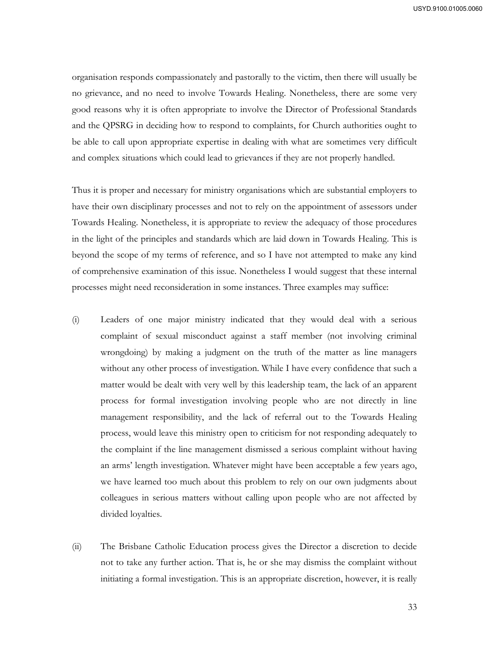organisation responds compassionately and pastorally to the victim, then there will usually be no grievance, and no need to involve Towards Healing. Nonetheless, there are some very good reasons why it is often appropriate to involve the Director of Professional Standards and the QPSRG in deciding how to respond to complaints, for Church authorities ought to be able to call upon appropriate expertise in dealing with what are sometimes very difficult and complex situations which could lead to grievances if they are not properly handled.

Thus it is proper and necessary for ministry organisations which are substantial employers to have their own disciplinary processes and not to rely on the appointment of assessors under Towards Healing. Nonetheless, it is appropriate to review the adequacy of those procedures in the light of the principles and standards which are laid down in Towards Healing. This is beyond the scope of my terms of reference, and so I have not attempted to make any kind of comprehensive examination of this issue. Nonetheless I would suggest that these internal processes might need reconsideration in some instances. Three examples may suffice:

- (i) Leaders of one major ministry indicated that they would deal with a serious complaint of sexual misconduct against a staff member (not involving criminal wrongdoing) by making a judgment on the truth of the matter as line managers without any other process of investigation. While I have every confidence that such a matter would be dealt with very well by this leadership team, the lack of an apparent process for formal investigation involving people who are not directly in line management responsibility, and the lack of referral out to the Towards Healing process, would leave this ministry open to criticism for not responding adequately to the complaint if the line management dismissed a serious complaint without having an arms' length investigation. Whatever might have been acceptable a few years ago, we have learned too much about this problem to rely on our own judgments about colleagues in serious matters without calling upon people who are not affected by divided loyalties.
- (ii) The Brisbane Catholic Education process gives the Director a discretion to decide not to take any further action. That is, he or she may dismiss the complaint without initiating a formal investigation. This is an appropriate discretion, however, it is really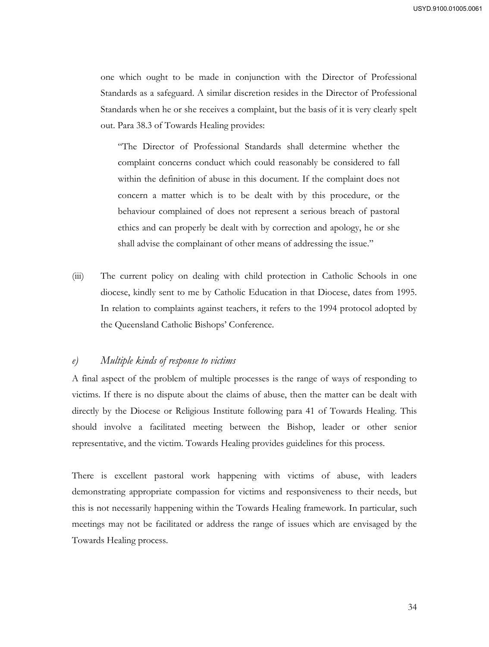one which ought to be made in conjunction with the Director of Professional Standards as a safeguard. A similar discretion resides in the Director of Professional Standards when he or she receives a complaint, but the basis of it is very clearly spelt out. Para 38.3 of Towards Healing provides:

"The Director of Professional Standards shall determine whether the complaint concerns conduct which could reasonably be considered to fall within the definition of abuse in this document. If the complaint does not concern a matter which is to be dealt with by this procedure, or the behaviour complained of does not represent a serious breach of pastoral ethics and can properly be dealt with by correction and apology, he or she shall advise the complainant of other means of addressing the issue."

(iii) The current policy on dealing with child protection in Catholic Schools in one diocese, kindly sent to me by Catholic Education in that Diocese, dates from 1995. In relation to complaints against teachers, it refers to the 1994 protocol adopted by the Queensland Catholic Bishops' Conference.

## *e) Multiple kinds of response to victims*

A final aspect of the problem of multiple processes is the range of ways of responding to victims. If there is no dispute about the claims of abuse, then the matter can be dealt with directly by the Diocese or Religious Institute following para 41 of Towards Healing. This should involve a facilitated meeting between the Bishop, leader or other senior representative, and the victim. Towards Healing provides guidelines for this process.

There is excellent pastoral work happening with victims of abuse, with leaders demonstrating appropriate compassion for victims and responsiveness to their needs, but this is not necessarily happening within the Towards Healing framework. In particular, such meetings may not be facilitated or address the range of issues which are envisaged by the Towards Healing process.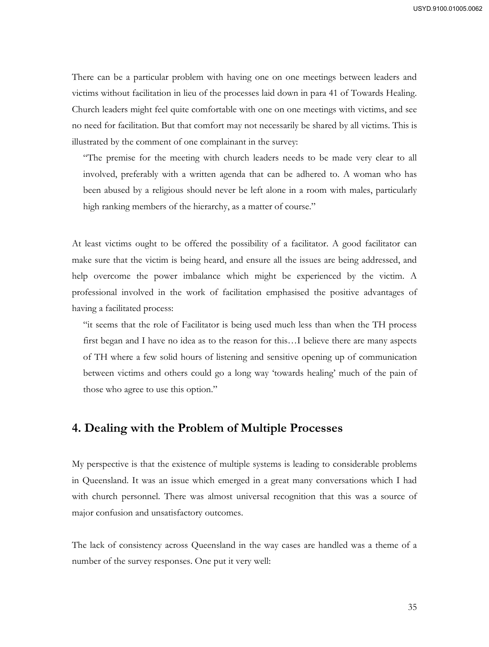There can be a particular problem with having one on one meetings between leaders and victims without facilitation in lieu of the processes laid down in para 41 of Towards Healing. Church leaders might feel quite comfortable with one on one meetings with victims, and see no need for facilitation. But that comfort may not necessarily be shared by all victims. This is illustrated by the comment of one complainant in the survey:

"The premise for the meeting with church leaders needs to be made very clear to all involved, preferably with a written agenda that can be adhered to. A woman who has been abused by a religious should never be left alone in a room with males, particularly high ranking members of the hierarchy, as a matter of course."

At least victims ought to be offered the possibility of a facilitator. A good facilitator can make sure that the victim is being heard, and ensure all the issues are being addressed, and help overcome the power imbalance which might be experienced by the victim. A professional involved in the work of facilitation emphasised the positive advantages of having a facilitated process:

"it seems that the role of Facilitator is being used much less than when the TH process first began and I have no idea as to the reason for this…I believe there are many aspects of TH where a few solid hours of listening and sensitive opening up of communication between victims and others could go a long way 'towards healing' much of the pain of those who agree to use this option."

# **4. Dealing with the Problem of Multiple Processes**

My perspective is that the existence of multiple systems is leading to considerable problems in Queensland. It was an issue which emerged in a great many conversations which I had with church personnel. There was almost universal recognition that this was a source of major confusion and unsatisfactory outcomes.

The lack of consistency across Queensland in the way cases are handled was a theme of a number of the survey responses. One put it very well: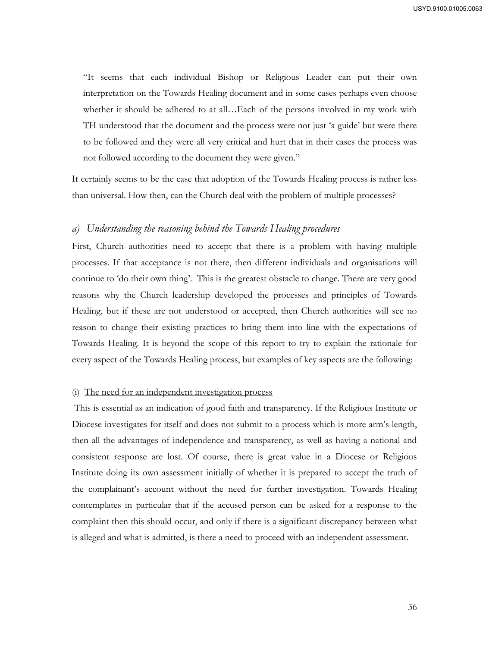"It seems that each individual Bishop or Religious Leader can put their own interpretation on the Towards Healing document and in some cases perhaps even choose whether it should be adhered to at all…Each of the persons involved in my work with TH understood that the document and the process were not just 'a guide' but were there to be followed and they were all very critical and hurt that in their cases the process was not followed according to the document they were given."

It certainly seems to be the case that adoption of the Towards Healing process is rather less than universal. How then, can the Church deal with the problem of multiple processes?

#### *a) Understanding the reasoning behind the Towards Healing procedures*

First, Church authorities need to accept that there is a problem with having multiple processes. If that acceptance is not there, then different individuals and organisations will continue to 'do their own thing'. This is the greatest obstacle to change. There are very good reasons why the Church leadership developed the processes and principles of Towards Healing, but if these are not understood or accepted, then Church authorities will see no reason to change their existing practices to bring them into line with the expectations of Towards Healing. It is beyond the scope of this report to try to explain the rationale for every aspect of the Towards Healing process, but examples of key aspects are the following:

#### (i) The need for an independent investigation process

 This is essential as an indication of good faith and transparency. If the Religious Institute or Diocese investigates for itself and does not submit to a process which is more arm's length, then all the advantages of independence and transparency, as well as having a national and consistent response are lost. Of course, there is great value in a Diocese or Religious Institute doing its own assessment initially of whether it is prepared to accept the truth of the complainant's account without the need for further investigation. Towards Healing contemplates in particular that if the accused person can be asked for a response to the complaint then this should occur, and only if there is a significant discrepancy between what is alleged and what is admitted, is there a need to proceed with an independent assessment.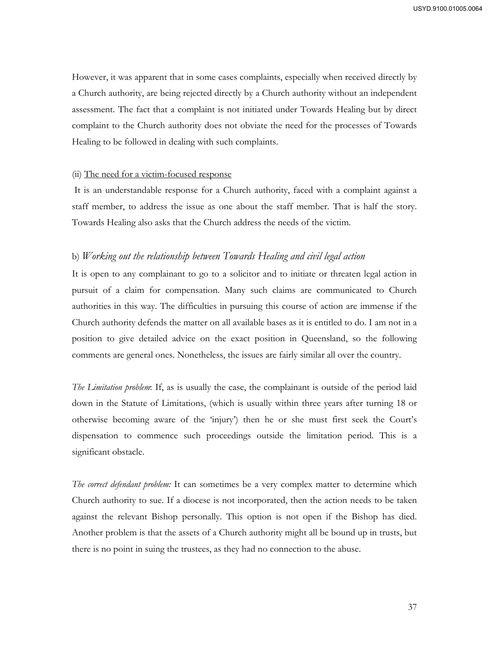However, it was apparent that in some cases complaints, especially when received directly by a Church authority, are being rejected directly by a Church authority without an independent assessment. The fact that a complaint is not initiated under Towards Healing but by direct complaint to the Church authority does not obviate the need for the processes of Towards Healing to be followed in dealing with such complaints.

#### (ii) The need for a victim-focused response

 It is an understandable response for a Church authority, faced with a complaint against a staff member, to address the issue as one about the staff member. That is half the story. Towards Healing also asks that the Church address the needs of the victim.

#### b) *Working out the relationship between Towards Healing and civil legal action*

It is open to any complainant to go to a solicitor and to initiate or threaten legal action in pursuit of a claim for compensation. Many such claims are communicated to Church authorities in this way. The difficulties in pursuing this course of action are immense if the Church authority defends the matter on all available bases as it is entitled to do. I am not in a position to give detailed advice on the exact position in Queensland, so the following comments are general ones. Nonetheless, the issues are fairly similar all over the country.

*The Limitation problem*: If, as is usually the case, the complainant is outside of the period laid down in the Statute of Limitations, (which is usually within three years after turning 18 or otherwise becoming aware of the 'injury') then he or she must first seek the Court's dispensation to commence such proceedings outside the limitation period. This is a significant obstacle.

*The correct defendant problem:* It can sometimes be a very complex matter to determine which Church authority to sue. If a diocese is not incorporated, then the action needs to be taken against the relevant Bishop personally. This option is not open if the Bishop has died. Another problem is that the assets of a Church authority might all be bound up in trusts, but there is no point in suing the trustees, as they had no connection to the abuse.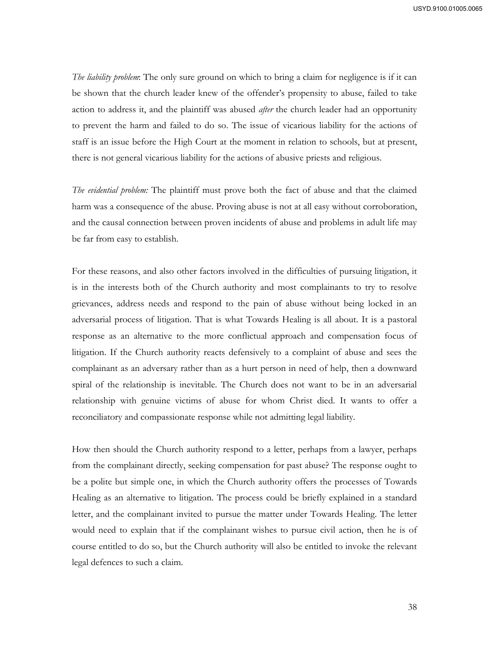*The liability problem*: The only sure ground on which to bring a claim for negligence is if it can be shown that the church leader knew of the offender's propensity to abuse, failed to take action to address it, and the plaintiff was abused *after* the church leader had an opportunity to prevent the harm and failed to do so. The issue of vicarious liability for the actions of staff is an issue before the High Court at the moment in relation to schools, but at present, there is not general vicarious liability for the actions of abusive priests and religious.

*The evidential problem:* The plaintiff must prove both the fact of abuse and that the claimed harm was a consequence of the abuse. Proving abuse is not at all easy without corroboration, and the causal connection between proven incidents of abuse and problems in adult life may be far from easy to establish.

For these reasons, and also other factors involved in the difficulties of pursuing litigation, it is in the interests both of the Church authority and most complainants to try to resolve grievances, address needs and respond to the pain of abuse without being locked in an adversarial process of litigation. That is what Towards Healing is all about. It is a pastoral response as an alternative to the more conflictual approach and compensation focus of litigation. If the Church authority reacts defensively to a complaint of abuse and sees the complainant as an adversary rather than as a hurt person in need of help, then a downward spiral of the relationship is inevitable. The Church does not want to be in an adversarial relationship with genuine victims of abuse for whom Christ died. It wants to offer a reconciliatory and compassionate response while not admitting legal liability.

How then should the Church authority respond to a letter, perhaps from a lawyer, perhaps from the complainant directly, seeking compensation for past abuse? The response ought to be a polite but simple one, in which the Church authority offers the processes of Towards Healing as an alternative to litigation. The process could be briefly explained in a standard letter, and the complainant invited to pursue the matter under Towards Healing. The letter would need to explain that if the complainant wishes to pursue civil action, then he is of course entitled to do so, but the Church authority will also be entitled to invoke the relevant legal defences to such a claim.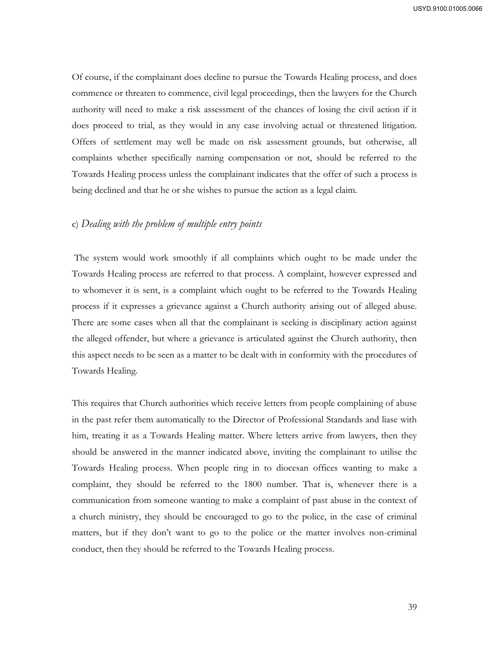Of course, if the complainant does decline to pursue the Towards Healing process, and does commence or threaten to commence, civil legal proceedings, then the lawyers for the Church authority will need to make a risk assessment of the chances of losing the civil action if it does proceed to trial, as they would in any case involving actual or threatened litigation. Offers of settlement may well be made on risk assessment grounds, but otherwise, all complaints whether specifically naming compensation or not, should be referred to the Towards Healing process unless the complainant indicates that the offer of such a process is being declined and that he or she wishes to pursue the action as a legal claim.

# c) *Dealing with the problem of multiple entry points*

 The system would work smoothly if all complaints which ought to be made under the Towards Healing process are referred to that process. A complaint, however expressed and to whomever it is sent, is a complaint which ought to be referred to the Towards Healing process if it expresses a grievance against a Church authority arising out of alleged abuse. There are some cases when all that the complainant is seeking is disciplinary action against the alleged offender, but where a grievance is articulated against the Church authority, then this aspect needs to be seen as a matter to be dealt with in conformity with the procedures of Towards Healing.

This requires that Church authorities which receive letters from people complaining of abuse in the past refer them automatically to the Director of Professional Standards and liase with him, treating it as a Towards Healing matter. Where letters arrive from lawyers, then they should be answered in the manner indicated above, inviting the complainant to utilise the Towards Healing process. When people ring in to diocesan offices wanting to make a complaint, they should be referred to the 1800 number. That is, whenever there is a communication from someone wanting to make a complaint of past abuse in the context of a church ministry, they should be encouraged to go to the police, in the case of criminal matters, but if they don't want to go to the police or the matter involves non-criminal conduct, then they should be referred to the Towards Healing process.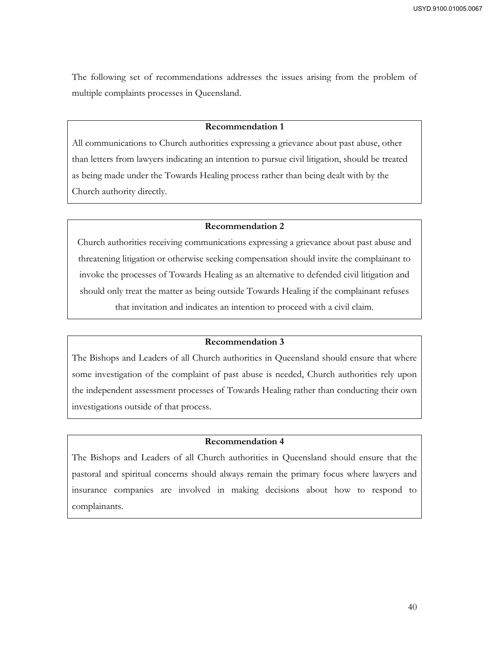The following set of recommendations addresses the issues arising from the problem of multiple complaints processes in Queensland.

# **Recommendation 1**

All communications to Church authorities expressing a grievance about past abuse, other than letters from lawyers indicating an intention to pursue civil litigation, should be treated as being made under the Towards Healing process rather than being dealt with by the Church authority directly.

# **Recommendation 2**

Church authorities receiving communications expressing a grievance about past abuse and threatening litigation or otherwise seeking compensation should invite the complainant to invoke the processes of Towards Healing as an alternative to defended civil litigation and should only treat the matter as being outside Towards Healing if the complainant refuses that invitation and indicates an intention to proceed with a civil claim.

#### **Recommendation 3**

The Bishops and Leaders of all Church authorities in Queensland should ensure that where some investigation of the complaint of past abuse is needed, Church authorities rely upon the independent assessment processes of Towards Healing rather than conducting their own investigations outside of that process.

# **Recommendation 4**

The Bishops and Leaders of all Church authorities in Queensland should ensure that the pastoral and spiritual concerns should always remain the primary focus where lawyers and insurance companies are involved in making decisions about how to respond to complainants.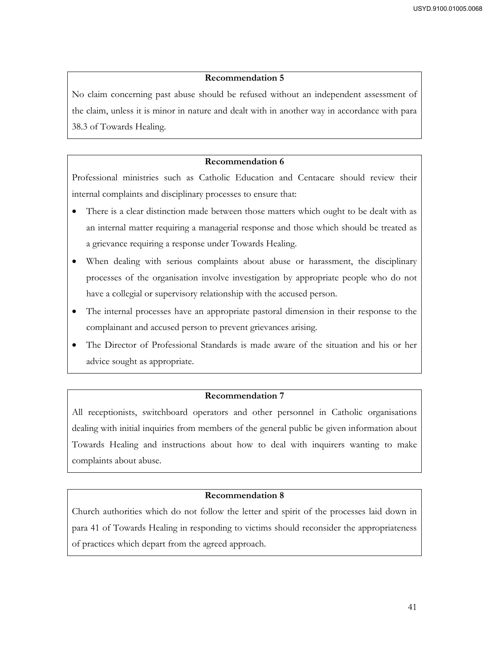No claim concerning past abuse should be refused without an independent assessment of the claim, unless it is minor in nature and dealt with in another way in accordance with para 38.3 of Towards Healing.

# **Recommendation 6**

Professional ministries such as Catholic Education and Centacare should review their internal complaints and disciplinary processes to ensure that:

- There is a clear distinction made between those matters which ought to be dealt with as an internal matter requiring a managerial response and those which should be treated as a grievance requiring a response under Towards Healing.
- When dealing with serious complaints about abuse or harassment, the disciplinary processes of the organisation involve investigation by appropriate people who do not have a collegial or supervisory relationship with the accused person.
- The internal processes have an appropriate pastoral dimension in their response to the complainant and accused person to prevent grievances arising.
- The Director of Professional Standards is made aware of the situation and his or her advice sought as appropriate.

# **Recommendation 7**

All receptionists, switchboard operators and other personnel in Catholic organisations dealing with initial inquiries from members of the general public be given information about Towards Healing and instructions about how to deal with inquirers wanting to make complaints about abuse.

# **Recommendation 8**

Church authorities which do not follow the letter and spirit of the processes laid down in para 41 of Towards Healing in responding to victims should reconsider the appropriateness of practices which depart from the agreed approach.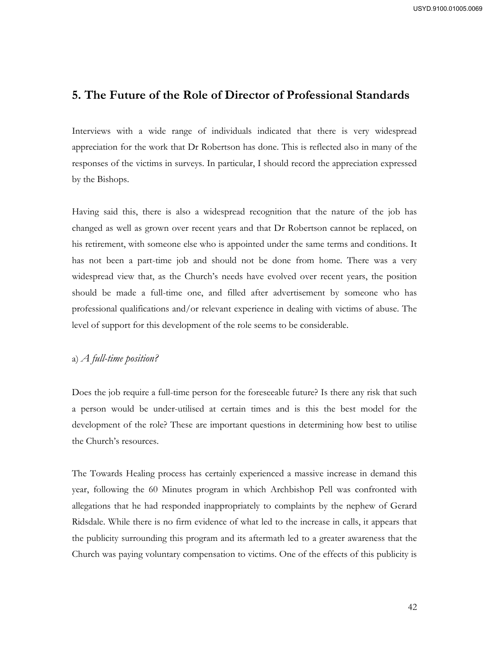# **5. The Future of the Role of Director of Professional Standards**

Interviews with a wide range of individuals indicated that there is very widespread appreciation for the work that Dr Robertson has done. This is reflected also in many of the responses of the victims in surveys. In particular, I should record the appreciation expressed by the Bishops.

Having said this, there is also a widespread recognition that the nature of the job has changed as well as grown over recent years and that Dr Robertson cannot be replaced, on his retirement, with someone else who is appointed under the same terms and conditions. It has not been a part-time job and should not be done from home. There was a very widespread view that, as the Church's needs have evolved over recent years, the position should be made a full-time one, and filled after advertisement by someone who has professional qualifications and/or relevant experience in dealing with victims of abuse. The level of support for this development of the role seems to be considerable.

# a) *A full-time position?*

Does the job require a full-time person for the foreseeable future? Is there any risk that such a person would be under-utilised at certain times and is this the best model for the development of the role? These are important questions in determining how best to utilise the Church's resources.

The Towards Healing process has certainly experienced a massive increase in demand this year, following the 60 Minutes program in which Archbishop Pell was confronted with allegations that he had responded inappropriately to complaints by the nephew of Gerard Ridsdale. While there is no firm evidence of what led to the increase in calls, it appears that the publicity surrounding this program and its aftermath led to a greater awareness that the Church was paying voluntary compensation to victims. One of the effects of this publicity is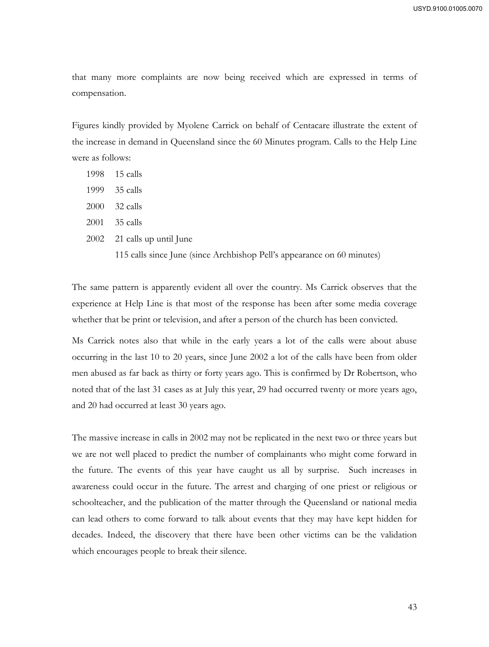that many more complaints are now being received which are expressed in terms of compensation.

Figures kindly provided by Myolene Carrick on behalf of Centacare illustrate the extent of the increase in demand in Queensland since the 60 Minutes program. Calls to the Help Line were as follows:

- 1998 15 calls
- 1999 35 calls
- 2000 32 calls
- 2001 35 calls
- 2002 21 calls up until June

115 calls since June (since Archbishop Pell's appearance on 60 minutes)

The same pattern is apparently evident all over the country. Ms Carrick observes that the experience at Help Line is that most of the response has been after some media coverage whether that be print or television, and after a person of the church has been convicted.

Ms Carrick notes also that while in the early years a lot of the calls were about abuse occurring in the last 10 to 20 years, since June 2002 a lot of the calls have been from older men abused as far back as thirty or forty years ago. This is confirmed by Dr Robertson, who noted that of the last 31 cases as at July this year, 29 had occurred twenty or more years ago, and 20 had occurred at least 30 years ago.

The massive increase in calls in 2002 may not be replicated in the next two or three years but we are not well placed to predict the number of complainants who might come forward in the future. The events of this year have caught us all by surprise. Such increases in awareness could occur in the future. The arrest and charging of one priest or religious or schoolteacher, and the publication of the matter through the Queensland or national media can lead others to come forward to talk about events that they may have kept hidden for decades. Indeed, the discovery that there have been other victims can be the validation which encourages people to break their silence.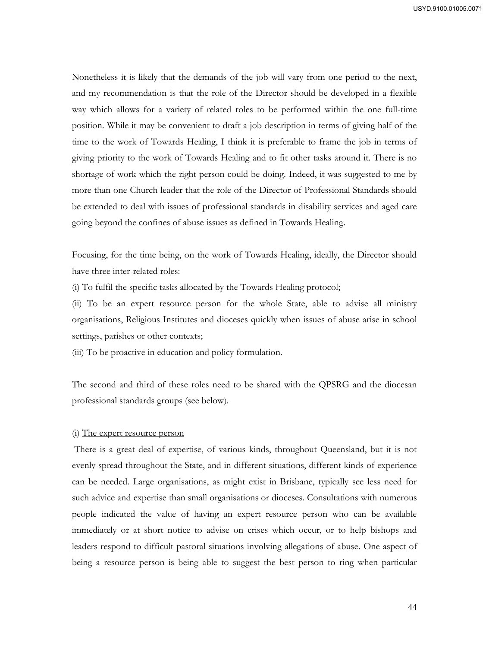Nonetheless it is likely that the demands of the job will vary from one period to the next, and my recommendation is that the role of the Director should be developed in a flexible way which allows for a variety of related roles to be performed within the one full-time position. While it may be convenient to draft a job description in terms of giving half of the time to the work of Towards Healing, I think it is preferable to frame the job in terms of giving priority to the work of Towards Healing and to fit other tasks around it. There is no shortage of work which the right person could be doing. Indeed, it was suggested to me by more than one Church leader that the role of the Director of Professional Standards should be extended to deal with issues of professional standards in disability services and aged care going beyond the confines of abuse issues as defined in Towards Healing.

Focusing, for the time being, on the work of Towards Healing, ideally, the Director should have three inter-related roles:

(i) To fulfil the specific tasks allocated by the Towards Healing protocol;

(ii) To be an expert resource person for the whole State, able to advise all ministry organisations, Religious Institutes and dioceses quickly when issues of abuse arise in school settings, parishes or other contexts;

(iii) To be proactive in education and policy formulation.

The second and third of these roles need to be shared with the QPSRG and the diocesan professional standards groups (see below).

#### (i) The expert resource person

 There is a great deal of expertise, of various kinds, throughout Queensland, but it is not evenly spread throughout the State, and in different situations, different kinds of experience can be needed. Large organisations, as might exist in Brisbane, typically see less need for such advice and expertise than small organisations or dioceses. Consultations with numerous people indicated the value of having an expert resource person who can be available immediately or at short notice to advise on crises which occur, or to help bishops and leaders respond to difficult pastoral situations involving allegations of abuse. One aspect of being a resource person is being able to suggest the best person to ring when particular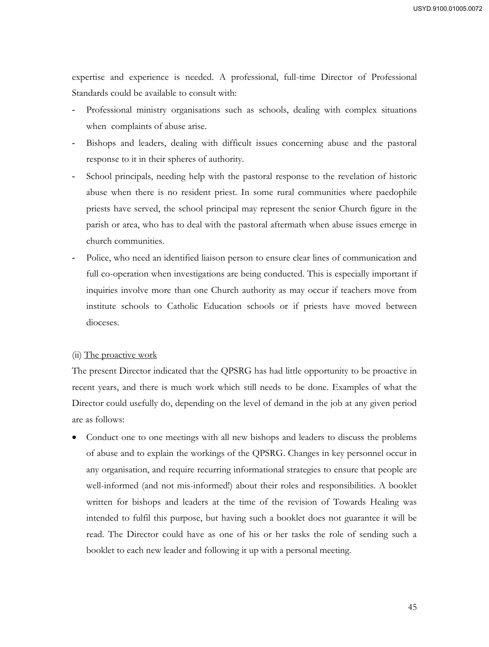expertise and experience is needed. A professional, full-time Director of Professional Standards could be available to consult with:

- Professional ministry organisations such as schools, dealing with complex situations when complaints of abuse arise.
- Bishops and leaders, dealing with difficult issues concerning abuse and the pastoral response to it in their spheres of authority.
- School principals, needing help with the pastoral response to the revelation of historic abuse when there is no resident priest. In some rural communities where paedophile priests have served, the school principal may represent the senior Church figure in the parish or area, who has to deal with the pastoral aftermath when abuse issues emerge in church communities.
- Police, who need an identified liaison person to ensure clear lines of communication and full co-operation when investigations are being conducted. This is especially important if inquiries involve more than one Church authority as may occur if teachers move from institute schools to Catholic Education schools or if priests have moved between dioceses.

## (ii) The proactive work

The present Director indicated that the QPSRG has had little opportunity to be proactive in recent years, and there is much work which still needs to be done. Examples of what the Director could usefully do, depending on the level of demand in the job at any given period are as follows:

 Conduct one to one meetings with all new bishops and leaders to discuss the problems of abuse and to explain the workings of the QPSRG. Changes in key personnel occur in any organisation, and require recurring informational strategies to ensure that people are well-informed (and not mis-informed!) about their roles and responsibilities. A booklet written for bishops and leaders at the time of the revision of Towards Healing was intended to fulfil this purpose, but having such a booklet does not guarantee it will be read. The Director could have as one of his or her tasks the role of sending such a booklet to each new leader and following it up with a personal meeting.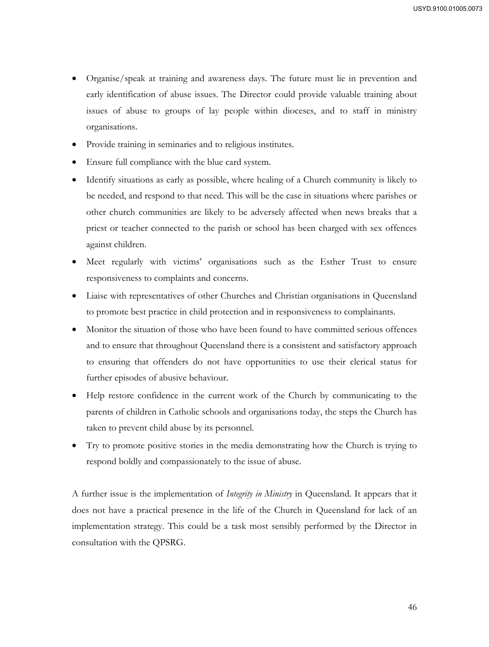- Organise/speak at training and awareness days. The future must lie in prevention and early identification of abuse issues. The Director could provide valuable training about issues of abuse to groups of lay people within dioceses, and to staff in ministry organisations.
- Provide training in seminaries and to religious institutes.
- Ensure full compliance with the blue card system.
- Identify situations as early as possible, where healing of a Church community is likely to be needed, and respond to that need. This will be the case in situations where parishes or other church communities are likely to be adversely affected when news breaks that a priest or teacher connected to the parish or school has been charged with sex offences against children.
- Meet regularly with victims' organisations such as the Esther Trust to ensure responsiveness to complaints and concerns.
- Liaise with representatives of other Churches and Christian organisations in Queensland to promote best practice in child protection and in responsiveness to complainants.
- Monitor the situation of those who have been found to have committed serious offences and to ensure that throughout Queensland there is a consistent and satisfactory approach to ensuring that offenders do not have opportunities to use their clerical status for further episodes of abusive behaviour.
- Help restore confidence in the current work of the Church by communicating to the parents of children in Catholic schools and organisations today, the steps the Church has taken to prevent child abuse by its personnel.
- Try to promote positive stories in the media demonstrating how the Church is trying to respond boldly and compassionately to the issue of abuse.

A further issue is the implementation of *Integrity in Ministry* in Queensland. It appears that it does not have a practical presence in the life of the Church in Queensland for lack of an implementation strategy. This could be a task most sensibly performed by the Director in consultation with the QPSRG.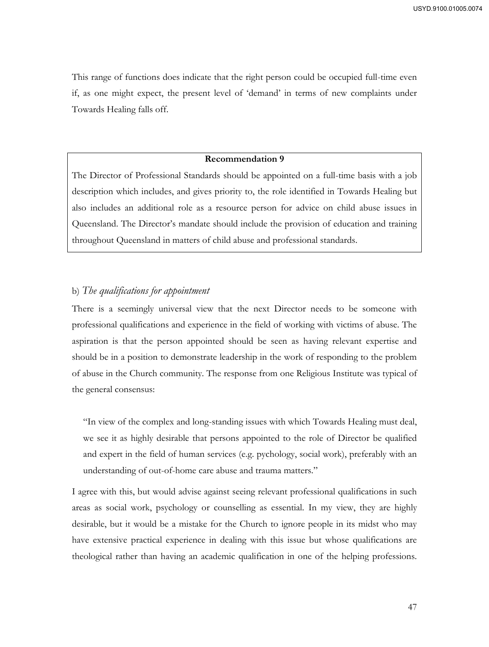This range of functions does indicate that the right person could be occupied full-time even if, as one might expect, the present level of 'demand' in terms of new complaints under Towards Healing falls off.

# **Recommendation 9**

The Director of Professional Standards should be appointed on a full-time basis with a job description which includes, and gives priority to, the role identified in Towards Healing but also includes an additional role as a resource person for advice on child abuse issues in Queensland. The Director's mandate should include the provision of education and training throughout Queensland in matters of child abuse and professional standards.

# b) *The qualifications for appointment*

There is a seemingly universal view that the next Director needs to be someone with professional qualifications and experience in the field of working with victims of abuse. The aspiration is that the person appointed should be seen as having relevant expertise and should be in a position to demonstrate leadership in the work of responding to the problem of abuse in the Church community. The response from one Religious Institute was typical of the general consensus:

"In view of the complex and long-standing issues with which Towards Healing must deal, we see it as highly desirable that persons appointed to the role of Director be qualified and expert in the field of human services (e.g. pychology, social work), preferably with an understanding of out-of-home care abuse and trauma matters."

I agree with this, but would advise against seeing relevant professional qualifications in such areas as social work, psychology or counselling as essential. In my view, they are highly desirable, but it would be a mistake for the Church to ignore people in its midst who may have extensive practical experience in dealing with this issue but whose qualifications are theological rather than having an academic qualification in one of the helping professions.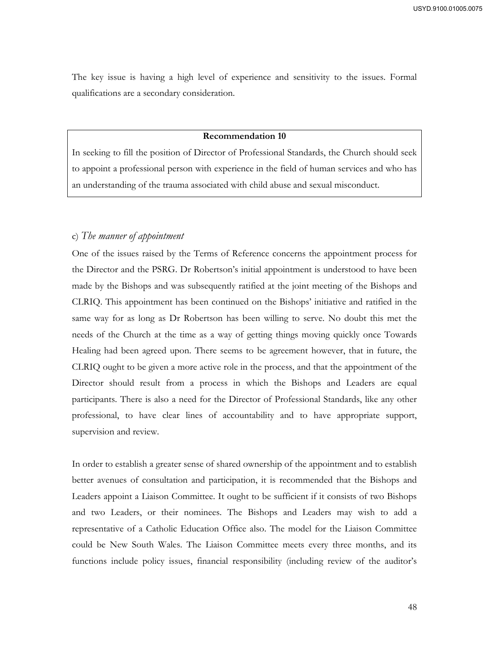The key issue is having a high level of experience and sensitivity to the issues. Formal qualifications are a secondary consideration.

#### **Recommendation 10**

In seeking to fill the position of Director of Professional Standards, the Church should seek to appoint a professional person with experience in the field of human services and who has an understanding of the trauma associated with child abuse and sexual misconduct.

#### c) *The manner of appointment*

One of the issues raised by the Terms of Reference concerns the appointment process for the Director and the PSRG. Dr Robertson's initial appointment is understood to have been made by the Bishops and was subsequently ratified at the joint meeting of the Bishops and CLRIQ. This appointment has been continued on the Bishops' initiative and ratified in the same way for as long as Dr Robertson has been willing to serve. No doubt this met the needs of the Church at the time as a way of getting things moving quickly once Towards Healing had been agreed upon. There seems to be agreement however, that in future, the CLRIQ ought to be given a more active role in the process, and that the appointment of the Director should result from a process in which the Bishops and Leaders are equal participants. There is also a need for the Director of Professional Standards, like any other professional, to have clear lines of accountability and to have appropriate support, supervision and review.

In order to establish a greater sense of shared ownership of the appointment and to establish better avenues of consultation and participation, it is recommended that the Bishops and Leaders appoint a Liaison Committee. It ought to be sufficient if it consists of two Bishops and two Leaders, or their nominees. The Bishops and Leaders may wish to add a representative of a Catholic Education Office also. The model for the Liaison Committee could be New South Wales. The Liaison Committee meets every three months, and its functions include policy issues, financial responsibility (including review of the auditor's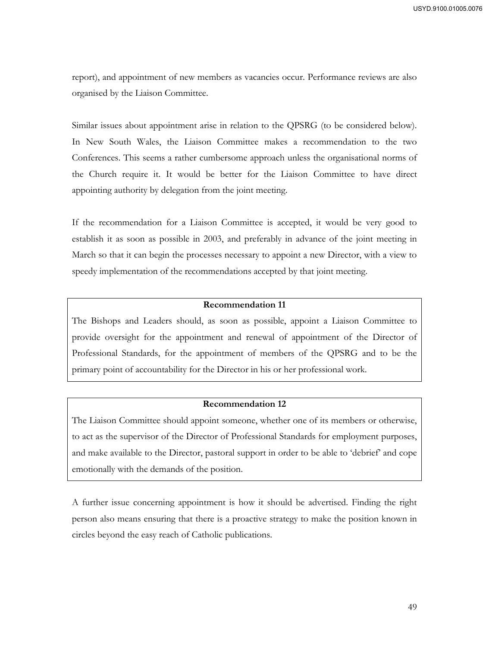report), and appointment of new members as vacancies occur. Performance reviews are also organised by the Liaison Committee.

Similar issues about appointment arise in relation to the QPSRG (to be considered below). In New South Wales, the Liaison Committee makes a recommendation to the two Conferences. This seems a rather cumbersome approach unless the organisational norms of the Church require it. It would be better for the Liaison Committee to have direct appointing authority by delegation from the joint meeting.

If the recommendation for a Liaison Committee is accepted, it would be very good to establish it as soon as possible in 2003, and preferably in advance of the joint meeting in March so that it can begin the processes necessary to appoint a new Director, with a view to speedy implementation of the recommendations accepted by that joint meeting.

#### **Recommendation 11**

The Bishops and Leaders should, as soon as possible, appoint a Liaison Committee to provide oversight for the appointment and renewal of appointment of the Director of Professional Standards, for the appointment of members of the QPSRG and to be the primary point of accountability for the Director in his or her professional work.

#### **Recommendation 12**

The Liaison Committee should appoint someone, whether one of its members or otherwise, to act as the supervisor of the Director of Professional Standards for employment purposes, and make available to the Director, pastoral support in order to be able to 'debrief' and cope emotionally with the demands of the position.

A further issue concerning appointment is how it should be advertised. Finding the right person also means ensuring that there is a proactive strategy to make the position known in circles beyond the easy reach of Catholic publications.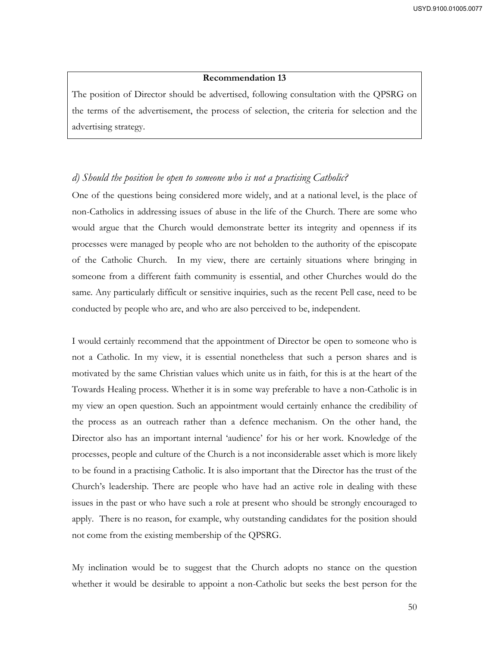The position of Director should be advertised, following consultation with the QPSRG on the terms of the advertisement, the process of selection, the criteria for selection and the advertising strategy.

# *d) Should the position be open to someone who is not a practising Catholic?*

One of the questions being considered more widely, and at a national level, is the place of non-Catholics in addressing issues of abuse in the life of the Church. There are some who would argue that the Church would demonstrate better its integrity and openness if its processes were managed by people who are not beholden to the authority of the episcopate of the Catholic Church. In my view, there are certainly situations where bringing in someone from a different faith community is essential, and other Churches would do the same. Any particularly difficult or sensitive inquiries, such as the recent Pell case, need to be conducted by people who are, and who are also perceived to be, independent.

I would certainly recommend that the appointment of Director be open to someone who is not a Catholic. In my view, it is essential nonetheless that such a person shares and is motivated by the same Christian values which unite us in faith, for this is at the heart of the Towards Healing process. Whether it is in some way preferable to have a non-Catholic is in my view an open question. Such an appointment would certainly enhance the credibility of the process as an outreach rather than a defence mechanism. On the other hand, the Director also has an important internal 'audience' for his or her work. Knowledge of the processes, people and culture of the Church is a not inconsiderable asset which is more likely to be found in a practising Catholic. It is also important that the Director has the trust of the Church's leadership. There are people who have had an active role in dealing with these issues in the past or who have such a role at present who should be strongly encouraged to apply. There is no reason, for example, why outstanding candidates for the position should not come from the existing membership of the QPSRG.

My inclination would be to suggest that the Church adopts no stance on the question whether it would be desirable to appoint a non-Catholic but seeks the best person for the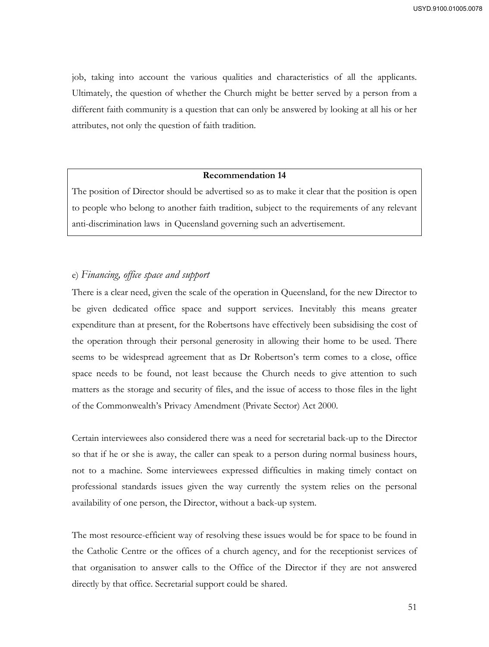job, taking into account the various qualities and characteristics of all the applicants. Ultimately, the question of whether the Church might be better served by a person from a different faith community is a question that can only be answered by looking at all his or her attributes, not only the question of faith tradition.

## **Recommendation 14**

The position of Director should be advertised so as to make it clear that the position is open to people who belong to another faith tradition, subject to the requirements of any relevant anti-discrimination laws in Queensland governing such an advertisement.

# e) *Financing, office space and support*

There is a clear need, given the scale of the operation in Queensland, for the new Director to be given dedicated office space and support services. Inevitably this means greater expenditure than at present, for the Robertsons have effectively been subsidising the cost of the operation through their personal generosity in allowing their home to be used. There seems to be widespread agreement that as Dr Robertson's term comes to a close, office space needs to be found, not least because the Church needs to give attention to such matters as the storage and security of files, and the issue of access to those files in the light of the Commonwealth's Privacy Amendment (Private Sector) Act 2000.

Certain interviewees also considered there was a need for secretarial back-up to the Director so that if he or she is away, the caller can speak to a person during normal business hours, not to a machine. Some interviewees expressed difficulties in making timely contact on professional standards issues given the way currently the system relies on the personal availability of one person, the Director, without a back-up system.

The most resource-efficient way of resolving these issues would be for space to be found in the Catholic Centre or the offices of a church agency, and for the receptionist services of that organisation to answer calls to the Office of the Director if they are not answered directly by that office. Secretarial support could be shared.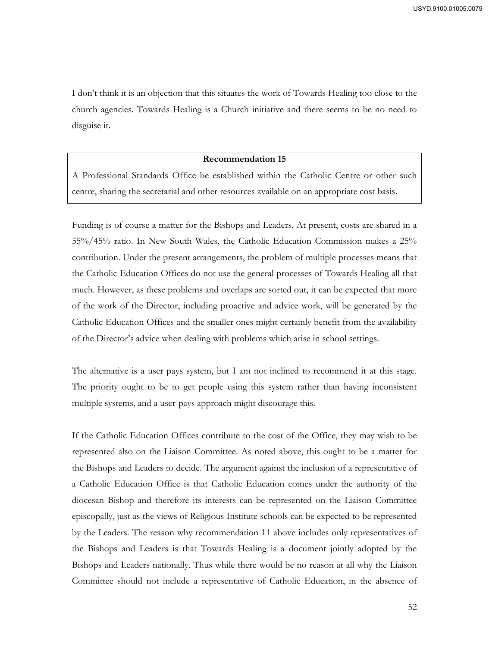I don't think it is an objection that this situates the work of Towards Healing too close to the church agencies. Towards Healing is a Church initiative and there seems to be no need to disguise it.

# **Recommendation 15**

A Professional Standards Office be established within the Catholic Centre or other such centre, sharing the secretarial and other resources available on an appropriate cost basis.

Funding is of course a matter for the Bishops and Leaders. At present, costs are shared in a 55%/45% ratio. In New South Wales, the Catholic Education Commission makes a 25% contribution. Under the present arrangements, the problem of multiple processes means that the Catholic Education Offices do not use the general processes of Towards Healing all that much. However, as these problems and overlaps are sorted out, it can be expected that more of the work of the Director, including proactive and advice work, will be generated by the Catholic Education Offices and the smaller ones might certainly benefit from the availability of the Director's advice when dealing with problems which arise in school settings.

The alternative is a user pays system, but I am not inclined to recommend it at this stage. The priority ought to be to get people using this system rather than having inconsistent multiple systems, and a user-pays approach might discourage this.

If the Catholic Education Offices contribute to the cost of the Office, they may wish to be represented also on the Liaison Committee. As noted above, this ought to be a matter for the Bishops and Leaders to decide. The argument against the inclusion of a representative of a Catholic Education Office is that Catholic Education comes under the authority of the diocesan Bishop and therefore its interests can be represented on the Liaison Committee episcopally, just as the views of Religious Institute schools can be expected to be represented by the Leaders. The reason why recommendation 11 above includes only representatives of the Bishops and Leaders is that Towards Healing is a document jointly adopted by the Bishops and Leaders nationally. Thus while there would be no reason at all why the Liaison Committee should not include a representative of Catholic Education, in the absence of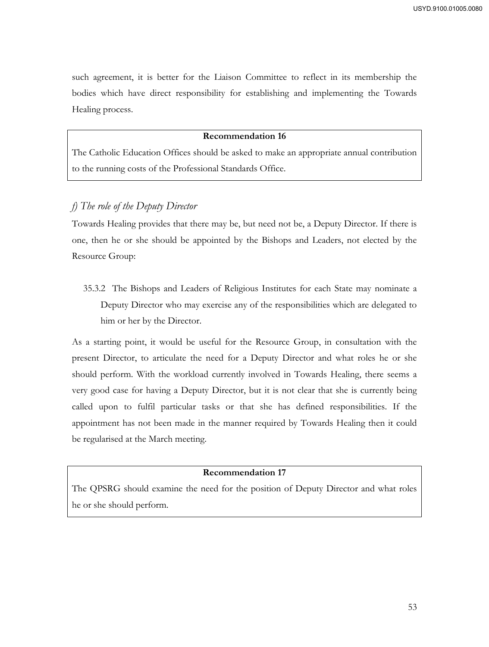such agreement, it is better for the Liaison Committee to reflect in its membership the bodies which have direct responsibility for establishing and implementing the Towards Healing process.

#### **Recommendation 16**

The Catholic Education Offices should be asked to make an appropriate annual contribution to the running costs of the Professional Standards Office.

# *f) The role of the Deputy Director*

Towards Healing provides that there may be, but need not be, a Deputy Director. If there is one, then he or she should be appointed by the Bishops and Leaders, not elected by the Resource Group:

35.3.2 The Bishops and Leaders of Religious Institutes for each State may nominate a Deputy Director who may exercise any of the responsibilities which are delegated to him or her by the Director.

As a starting point, it would be useful for the Resource Group, in consultation with the present Director, to articulate the need for a Deputy Director and what roles he or she should perform. With the workload currently involved in Towards Healing, there seems a very good case for having a Deputy Director, but it is not clear that she is currently being called upon to fulfil particular tasks or that she has defined responsibilities. If the appointment has not been made in the manner required by Towards Healing then it could be regularised at the March meeting.

#### **Recommendation 17**

The QPSRG should examine the need for the position of Deputy Director and what roles he or she should perform.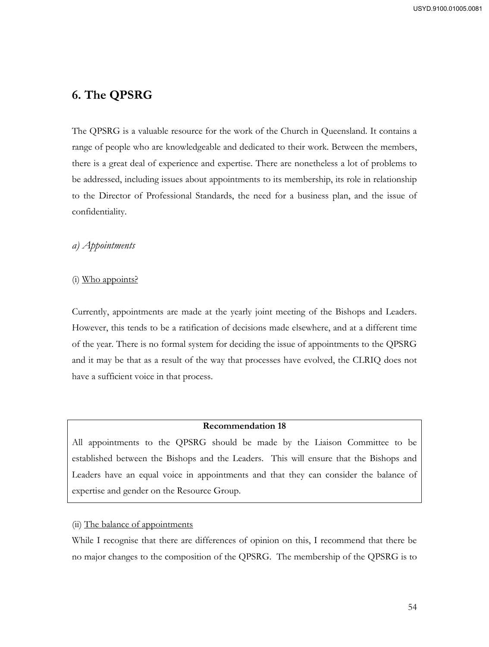# **6. The QPSRG**

The QPSRG is a valuable resource for the work of the Church in Queensland. It contains a range of people who are knowledgeable and dedicated to their work. Between the members, there is a great deal of experience and expertise. There are nonetheless a lot of problems to be addressed, including issues about appointments to its membership, its role in relationship to the Director of Professional Standards, the need for a business plan, and the issue of confidentiality.

# *a) Appointments*

# (i) Who appoints?

Currently, appointments are made at the yearly joint meeting of the Bishops and Leaders. However, this tends to be a ratification of decisions made elsewhere, and at a different time of the year. There is no formal system for deciding the issue of appointments to the QPSRG and it may be that as a result of the way that processes have evolved, the CLRIQ does not have a sufficient voice in that process.

# **Recommendation 18**

All appointments to the QPSRG should be made by the Liaison Committee to be established between the Bishops and the Leaders. This will ensure that the Bishops and Leaders have an equal voice in appointments and that they can consider the balance of expertise and gender on the Resource Group.

# (ii) The balance of appointments

While I recognise that there are differences of opinion on this, I recommend that there be no major changes to the composition of the QPSRG. The membership of the QPSRG is to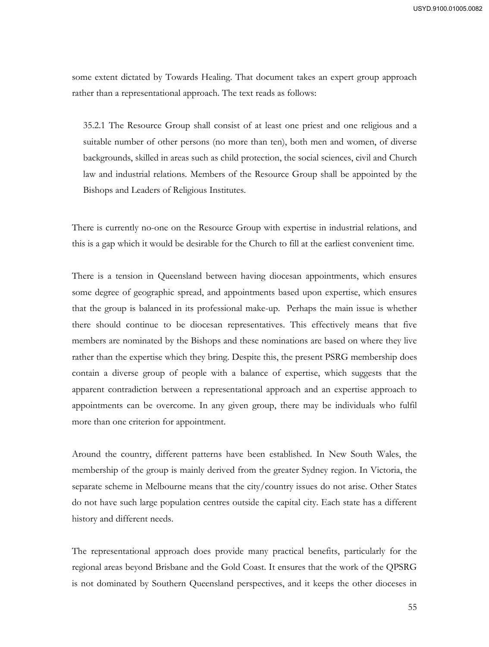some extent dictated by Towards Healing. That document takes an expert group approach rather than a representational approach. The text reads as follows:

35.2.1 The Resource Group shall consist of at least one priest and one religious and a suitable number of other persons (no more than ten), both men and women, of diverse backgrounds, skilled in areas such as child protection, the social sciences, civil and Church law and industrial relations. Members of the Resource Group shall be appointed by the Bishops and Leaders of Religious Institutes.

There is currently no-one on the Resource Group with expertise in industrial relations, and this is a gap which it would be desirable for the Church to fill at the earliest convenient time.

There is a tension in Queensland between having diocesan appointments, which ensures some degree of geographic spread, and appointments based upon expertise, which ensures that the group is balanced in its professional make-up. Perhaps the main issue is whether there should continue to be diocesan representatives. This effectively means that five members are nominated by the Bishops and these nominations are based on where they live rather than the expertise which they bring. Despite this, the present PSRG membership does contain a diverse group of people with a balance of expertise, which suggests that the apparent contradiction between a representational approach and an expertise approach to appointments can be overcome. In any given group, there may be individuals who fulfil more than one criterion for appointment.

Around the country, different patterns have been established. In New South Wales, the membership of the group is mainly derived from the greater Sydney region. In Victoria, the separate scheme in Melbourne means that the city/country issues do not arise. Other States do not have such large population centres outside the capital city. Each state has a different history and different needs.

The representational approach does provide many practical benefits, particularly for the regional areas beyond Brisbane and the Gold Coast. It ensures that the work of the QPSRG is not dominated by Southern Queensland perspectives, and it keeps the other dioceses in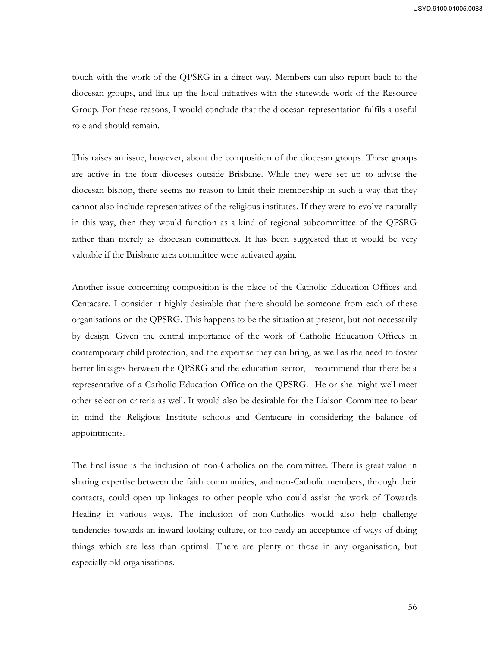touch with the work of the QPSRG in a direct way. Members can also report back to the diocesan groups, and link up the local initiatives with the statewide work of the Resource Group. For these reasons, I would conclude that the diocesan representation fulfils a useful role and should remain.

This raises an issue, however, about the composition of the diocesan groups. These groups are active in the four dioceses outside Brisbane. While they were set up to advise the diocesan bishop, there seems no reason to limit their membership in such a way that they cannot also include representatives of the religious institutes. If they were to evolve naturally in this way, then they would function as a kind of regional subcommittee of the QPSRG rather than merely as diocesan committees. It has been suggested that it would be very valuable if the Brisbane area committee were activated again.

Another issue concerning composition is the place of the Catholic Education Offices and Centacare. I consider it highly desirable that there should be someone from each of these organisations on the QPSRG. This happens to be the situation at present, but not necessarily by design. Given the central importance of the work of Catholic Education Offices in contemporary child protection, and the expertise they can bring, as well as the need to foster better linkages between the QPSRG and the education sector, I recommend that there be a representative of a Catholic Education Office on the QPSRG. He or she might well meet other selection criteria as well. It would also be desirable for the Liaison Committee to bear in mind the Religious Institute schools and Centacare in considering the balance of appointments.

The final issue is the inclusion of non-Catholics on the committee. There is great value in sharing expertise between the faith communities, and non-Catholic members, through their contacts, could open up linkages to other people who could assist the work of Towards Healing in various ways. The inclusion of non-Catholics would also help challenge tendencies towards an inward-looking culture, or too ready an acceptance of ways of doing things which are less than optimal. There are plenty of those in any organisation, but especially old organisations.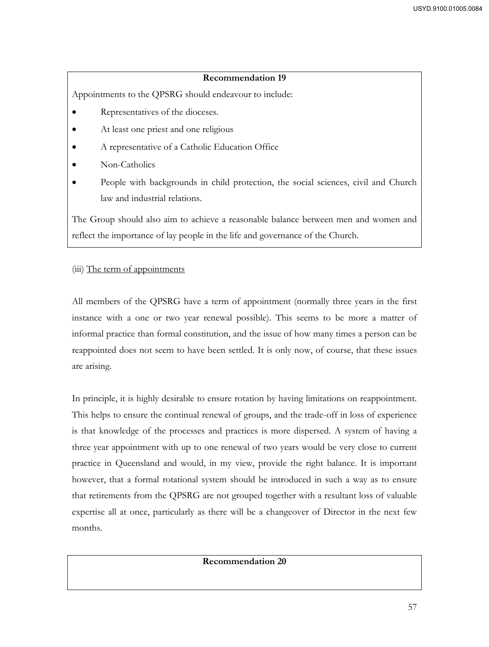Appointments to the QPSRG should endeavour to include:

- Representatives of the dioceses.
- At least one priest and one religious
- A representative of a Catholic Education Office
- Non-Catholics
- People with backgrounds in child protection, the social sciences, civil and Church law and industrial relations.

The Group should also aim to achieve a reasonable balance between men and women and reflect the importance of lay people in the life and governance of the Church.

# (iii) The term of appointments

All members of the QPSRG have a term of appointment (normally three years in the first instance with a one or two year renewal possible). This seems to be more a matter of informal practice than formal constitution, and the issue of how many times a person can be reappointed does not seem to have been settled. It is only now, of course, that these issues are arising.

In principle, it is highly desirable to ensure rotation by having limitations on reappointment. This helps to ensure the continual renewal of groups, and the trade-off in loss of experience is that knowledge of the processes and practices is more dispersed. A system of having a three year appointment with up to one renewal of two years would be very close to current practice in Queensland and would, in my view, provide the right balance. It is important however, that a formal rotational system should be introduced in such a way as to ensure that retirements from the QPSRG are not grouped together with a resultant loss of valuable expertise all at once, particularly as there will be a changeover of Director in the next few months.

## **Recommendation 20**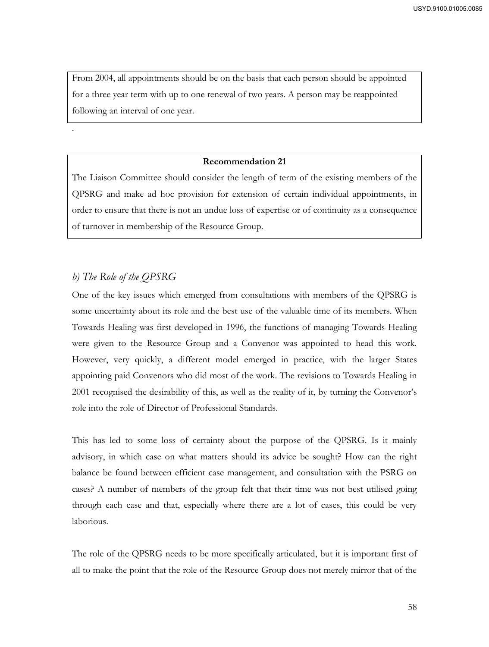From 2004, all appointments should be on the basis that each person should be appointed for a three year term with up to one renewal of two years. A person may be reappointed following an interval of one year.

# **Recommendation 21**

The Liaison Committee should consider the length of term of the existing members of the QPSRG and make ad hoc provision for extension of certain individual appointments, in order to ensure that there is not an undue loss of expertise or of continuity as a consequence of turnover in membership of the Resource Group.

# *b) The Role of the QPSRG*

.

One of the key issues which emerged from consultations with members of the QPSRG is some uncertainty about its role and the best use of the valuable time of its members. When Towards Healing was first developed in 1996, the functions of managing Towards Healing were given to the Resource Group and a Convenor was appointed to head this work. However, very quickly, a different model emerged in practice, with the larger States appointing paid Convenors who did most of the work. The revisions to Towards Healing in 2001 recognised the desirability of this, as well as the reality of it, by turning the Convenor's role into the role of Director of Professional Standards.

This has led to some loss of certainty about the purpose of the QPSRG. Is it mainly advisory, in which case on what matters should its advice be sought? How can the right balance be found between efficient case management, and consultation with the PSRG on cases? A number of members of the group felt that their time was not best utilised going through each case and that, especially where there are a lot of cases, this could be very laborious.

The role of the QPSRG needs to be more specifically articulated, but it is important first of all to make the point that the role of the Resource Group does not merely mirror that of the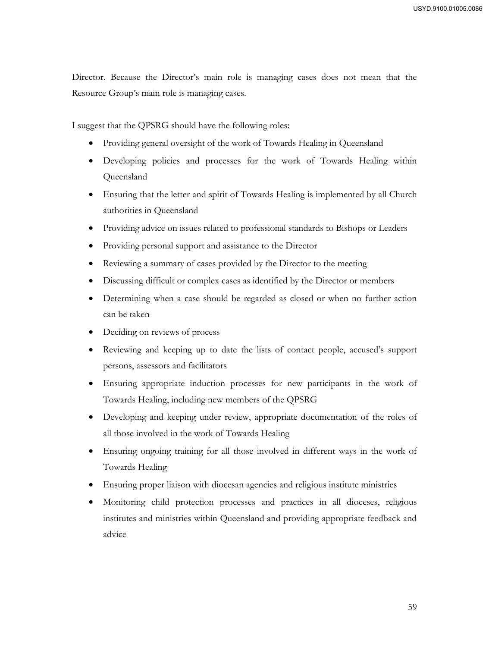Director. Because the Director's main role is managing cases does not mean that the Resource Group's main role is managing cases.

I suggest that the QPSRG should have the following roles:

- Providing general oversight of the work of Towards Healing in Queensland
- Developing policies and processes for the work of Towards Healing within Queensland
- Ensuring that the letter and spirit of Towards Healing is implemented by all Church authorities in Queensland
- Providing advice on issues related to professional standards to Bishops or Leaders
- Providing personal support and assistance to the Director
- Reviewing a summary of cases provided by the Director to the meeting
- Discussing difficult or complex cases as identified by the Director or members
- Determining when a case should be regarded as closed or when no further action can be taken
- Deciding on reviews of process
- Reviewing and keeping up to date the lists of contact people, accused's support persons, assessors and facilitators
- Ensuring appropriate induction processes for new participants in the work of Towards Healing, including new members of the QPSRG
- Developing and keeping under review, appropriate documentation of the roles of all those involved in the work of Towards Healing
- Ensuring ongoing training for all those involved in different ways in the work of Towards Healing
- Ensuring proper liaison with diocesan agencies and religious institute ministries
- Monitoring child protection processes and practices in all dioceses, religious institutes and ministries within Queensland and providing appropriate feedback and advice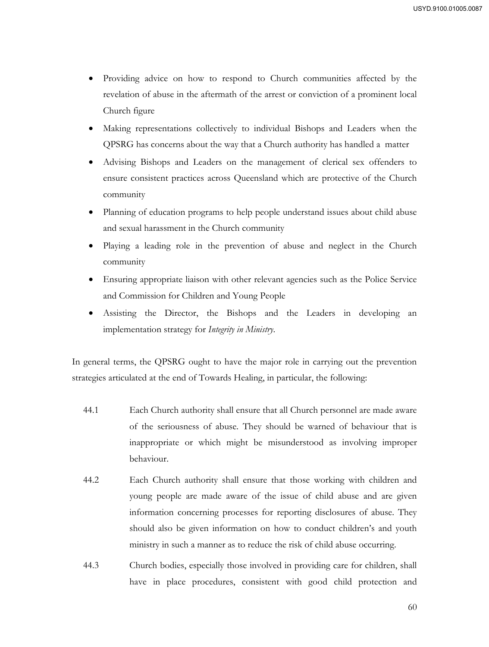- Providing advice on how to respond to Church communities affected by the revelation of abuse in the aftermath of the arrest or conviction of a prominent local Church figure
- Making representations collectively to individual Bishops and Leaders when the QPSRG has concerns about the way that a Church authority has handled a matter
- Advising Bishops and Leaders on the management of clerical sex offenders to ensure consistent practices across Queensland which are protective of the Church community
- Planning of education programs to help people understand issues about child abuse and sexual harassment in the Church community
- Playing a leading role in the prevention of abuse and neglect in the Church community
- Ensuring appropriate liaison with other relevant agencies such as the Police Service and Commission for Children and Young People
- Assisting the Director, the Bishops and the Leaders in developing an implementation strategy for *Integrity in Ministry*.

In general terms, the QPSRG ought to have the major role in carrying out the prevention strategies articulated at the end of Towards Healing, in particular, the following:

- 44.1 Each Church authority shall ensure that all Church personnel are made aware of the seriousness of abuse. They should be warned of behaviour that is inappropriate or which might be misunderstood as involving improper behaviour.
- 44.2 Each Church authority shall ensure that those working with children and young people are made aware of the issue of child abuse and are given information concerning processes for reporting disclosures of abuse. They should also be given information on how to conduct children's and youth ministry in such a manner as to reduce the risk of child abuse occurring.
- 44.3 Church bodies, especially those involved in providing care for children, shall have in place procedures, consistent with good child protection and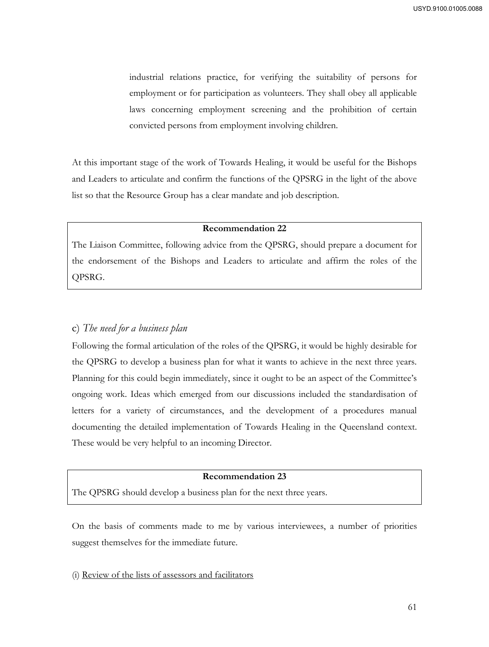industrial relations practice, for verifying the suitability of persons for employment or for participation as volunteers. They shall obey all applicable laws concerning employment screening and the prohibition of certain convicted persons from employment involving children.

At this important stage of the work of Towards Healing, it would be useful for the Bishops and Leaders to articulate and confirm the functions of the QPSRG in the light of the above list so that the Resource Group has a clear mandate and job description.

#### **Recommendation 22**

The Liaison Committee, following advice from the QPSRG, should prepare a document for the endorsement of the Bishops and Leaders to articulate and affirm the roles of the QPSRG.

# c) *The need for a business plan*

Following the formal articulation of the roles of the QPSRG, it would be highly desirable for the QPSRG to develop a business plan for what it wants to achieve in the next three years. Planning for this could begin immediately, since it ought to be an aspect of the Committee's ongoing work. Ideas which emerged from our discussions included the standardisation of letters for a variety of circumstances, and the development of a procedures manual documenting the detailed implementation of Towards Healing in the Queensland context. These would be very helpful to an incoming Director.

#### **Recommendation 23**

The QPSRG should develop a business plan for the next three years.

On the basis of comments made to me by various interviewees, a number of priorities suggest themselves for the immediate future.

(i) Review of the lists of assessors and facilitators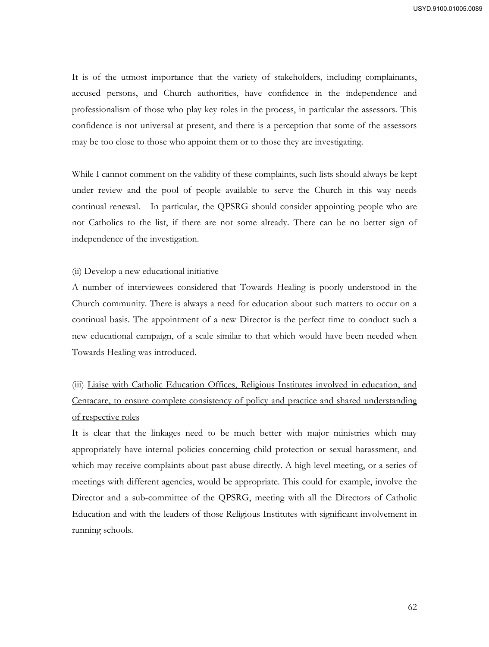It is of the utmost importance that the variety of stakeholders, including complainants, accused persons, and Church authorities, have confidence in the independence and professionalism of those who play key roles in the process, in particular the assessors. This confidence is not universal at present, and there is a perception that some of the assessors may be too close to those who appoint them or to those they are investigating.

While I cannot comment on the validity of these complaints, such lists should always be kept under review and the pool of people available to serve the Church in this way needs continual renewal. In particular, the QPSRG should consider appointing people who are not Catholics to the list, if there are not some already. There can be no better sign of independence of the investigation.

#### (ii) Develop a new educational initiative

A number of interviewees considered that Towards Healing is poorly understood in the Church community. There is always a need for education about such matters to occur on a continual basis. The appointment of a new Director is the perfect time to conduct such a new educational campaign, of a scale similar to that which would have been needed when Towards Healing was introduced.

(iii) Liaise with Catholic Education Offices, Religious Institutes involved in education, and Centacare, to ensure complete consistency of policy and practice and shared understanding of respective roles

It is clear that the linkages need to be much better with major ministries which may appropriately have internal policies concerning child protection or sexual harassment, and which may receive complaints about past abuse directly. A high level meeting, or a series of meetings with different agencies, would be appropriate. This could for example, involve the Director and a sub-committee of the QPSRG, meeting with all the Directors of Catholic Education and with the leaders of those Religious Institutes with significant involvement in running schools.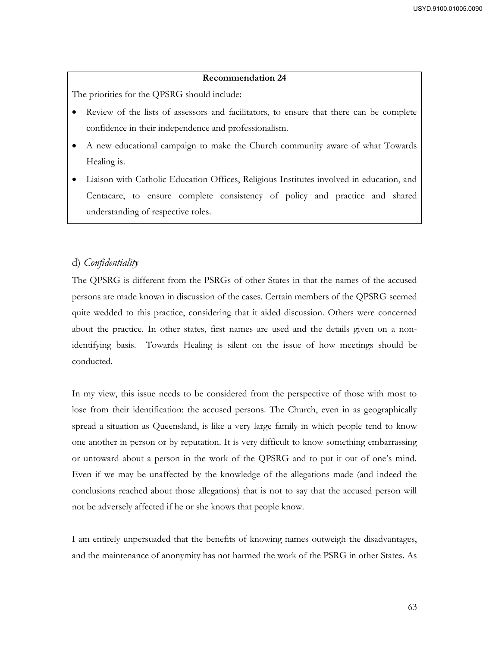The priorities for the QPSRG should include:

- Review of the lists of assessors and facilitators, to ensure that there can be complete confidence in their independence and professionalism.
- A new educational campaign to make the Church community aware of what Towards Healing is.
- Liaison with Catholic Education Offices, Religious Institutes involved in education, and Centacare, to ensure complete consistency of policy and practice and shared understanding of respective roles.

# d) *Confidentiality*

The QPSRG is different from the PSRGs of other States in that the names of the accused persons are made known in discussion of the cases. Certain members of the QPSRG seemed quite wedded to this practice, considering that it aided discussion. Others were concerned about the practice. In other states, first names are used and the details given on a nonidentifying basis. Towards Healing is silent on the issue of how meetings should be conducted.

In my view, this issue needs to be considered from the perspective of those with most to lose from their identification: the accused persons. The Church, even in as geographically spread a situation as Queensland, is like a very large family in which people tend to know one another in person or by reputation. It is very difficult to know something embarrassing or untoward about a person in the work of the QPSRG and to put it out of one's mind. Even if we may be unaffected by the knowledge of the allegations made (and indeed the conclusions reached about those allegations) that is not to say that the accused person will not be adversely affected if he or she knows that people know.

I am entirely unpersuaded that the benefits of knowing names outweigh the disadvantages, and the maintenance of anonymity has not harmed the work of the PSRG in other States. As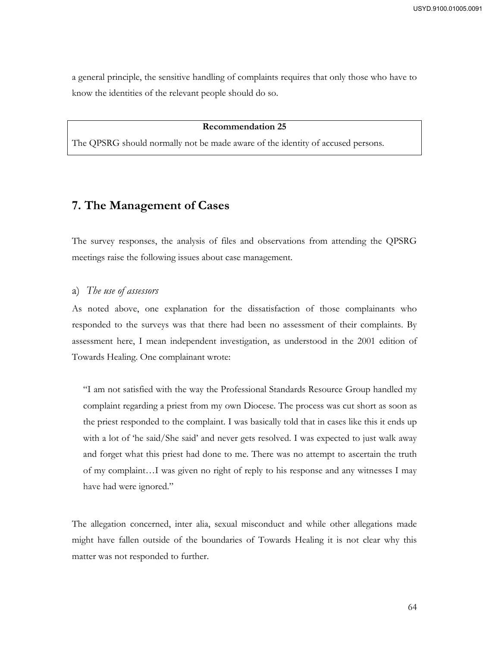a general principle, the sensitive handling of complaints requires that only those who have to know the identities of the relevant people should do so.

## **Recommendation 25**

The QPSRG should normally not be made aware of the identity of accused persons.

# **7. The Management of Cases**

The survey responses, the analysis of files and observations from attending the QPSRG meetings raise the following issues about case management.

#### a) *The use of assessors*

As noted above, one explanation for the dissatisfaction of those complainants who responded to the surveys was that there had been no assessment of their complaints. By assessment here, I mean independent investigation, as understood in the 2001 edition of Towards Healing. One complainant wrote:

"I am not satisfied with the way the Professional Standards Resource Group handled my complaint regarding a priest from my own Diocese. The process was cut short as soon as the priest responded to the complaint. I was basically told that in cases like this it ends up with a lot of 'he said/She said' and never gets resolved. I was expected to just walk away and forget what this priest had done to me. There was no attempt to ascertain the truth of my complaint…I was given no right of reply to his response and any witnesses I may have had were ignored."

The allegation concerned, inter alia, sexual misconduct and while other allegations made might have fallen outside of the boundaries of Towards Healing it is not clear why this matter was not responded to further.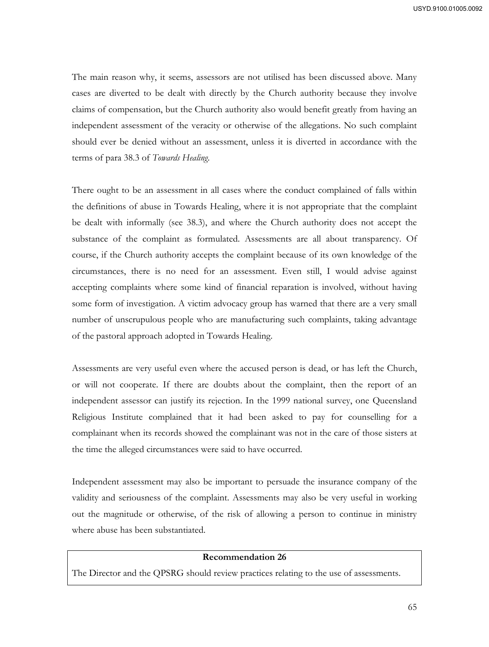The main reason why, it seems, assessors are not utilised has been discussed above. Many cases are diverted to be dealt with directly by the Church authority because they involve claims of compensation, but the Church authority also would benefit greatly from having an independent assessment of the veracity or otherwise of the allegations. No such complaint should ever be denied without an assessment, unless it is diverted in accordance with the terms of para 38.3 of *Towards Healing*.

There ought to be an assessment in all cases where the conduct complained of falls within the definitions of abuse in Towards Healing, where it is not appropriate that the complaint be dealt with informally (see 38.3), and where the Church authority does not accept the substance of the complaint as formulated. Assessments are all about transparency. Of course, if the Church authority accepts the complaint because of its own knowledge of the circumstances, there is no need for an assessment. Even still, I would advise against accepting complaints where some kind of financial reparation is involved, without having some form of investigation. A victim advocacy group has warned that there are a very small number of unscrupulous people who are manufacturing such complaints, taking advantage of the pastoral approach adopted in Towards Healing.

Assessments are very useful even where the accused person is dead, or has left the Church, or will not cooperate. If there are doubts about the complaint, then the report of an independent assessor can justify its rejection. In the 1999 national survey, one Queensland Religious Institute complained that it had been asked to pay for counselling for a complainant when its records showed the complainant was not in the care of those sisters at the time the alleged circumstances were said to have occurred.

Independent assessment may also be important to persuade the insurance company of the validity and seriousness of the complaint. Assessments may also be very useful in working out the magnitude or otherwise, of the risk of allowing a person to continue in ministry where abuse has been substantiated.

## **Recommendation 26**

The Director and the QPSRG should review practices relating to the use of assessments.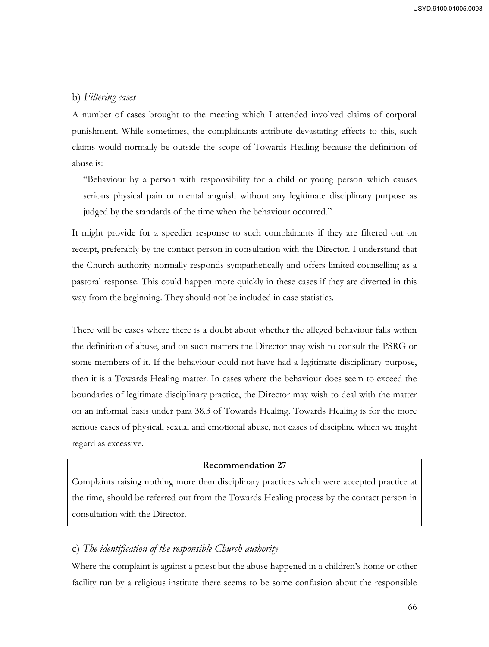# b) *Filtering cases*

A number of cases brought to the meeting which I attended involved claims of corporal punishment. While sometimes, the complainants attribute devastating effects to this, such claims would normally be outside the scope of Towards Healing because the definition of abuse is:

"Behaviour by a person with responsibility for a child or young person which causes serious physical pain or mental anguish without any legitimate disciplinary purpose as judged by the standards of the time when the behaviour occurred."

It might provide for a speedier response to such complainants if they are filtered out on receipt, preferably by the contact person in consultation with the Director. I understand that the Church authority normally responds sympathetically and offers limited counselling as a pastoral response. This could happen more quickly in these cases if they are diverted in this way from the beginning. They should not be included in case statistics.

There will be cases where there is a doubt about whether the alleged behaviour falls within the definition of abuse, and on such matters the Director may wish to consult the PSRG or some members of it. If the behaviour could not have had a legitimate disciplinary purpose, then it is a Towards Healing matter. In cases where the behaviour does seem to exceed the boundaries of legitimate disciplinary practice, the Director may wish to deal with the matter on an informal basis under para 38.3 of Towards Healing. Towards Healing is for the more serious cases of physical, sexual and emotional abuse, not cases of discipline which we might regard as excessive.

#### **Recommendation 27**

Complaints raising nothing more than disciplinary practices which were accepted practice at the time, should be referred out from the Towards Healing process by the contact person in consultation with the Director.

# c) *The identification of the responsible Church authority*

Where the complaint is against a priest but the abuse happened in a children's home or other facility run by a religious institute there seems to be some confusion about the responsible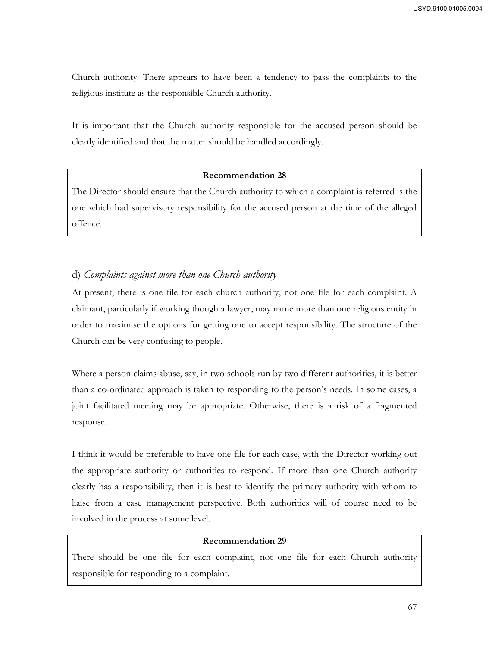Church authority. There appears to have been a tendency to pass the complaints to the religious institute as the responsible Church authority.

It is important that the Church authority responsible for the accused person should be clearly identified and that the matter should be handled accordingly.

## **Recommendation 28**

The Director should ensure that the Church authority to which a complaint is referred is the one which had supervisory responsibility for the accused person at the time of the alleged offence.

# d) *Complaints against more than one Church authority*

At present, there is one file for each church authority, not one file for each complaint. A claimant, particularly if working though a lawyer, may name more than one religious entity in order to maximise the options for getting one to accept responsibility. The structure of the Church can be very confusing to people.

Where a person claims abuse, say, in two schools run by two different authorities, it is better than a co-ordinated approach is taken to responding to the person's needs. In some cases, a joint facilitated meeting may be appropriate. Otherwise, there is a risk of a fragmented response.

I think it would be preferable to have one file for each case, with the Director working out the appropriate authority or authorities to respond. If more than one Church authority clearly has a responsibility, then it is best to identify the primary authority with whom to liaise from a case management perspective. Both authorities will of course need to be involved in the process at some level.

# **Recommendation 29**

There should be one file for each complaint, not one file for each Church authority responsible for responding to a complaint.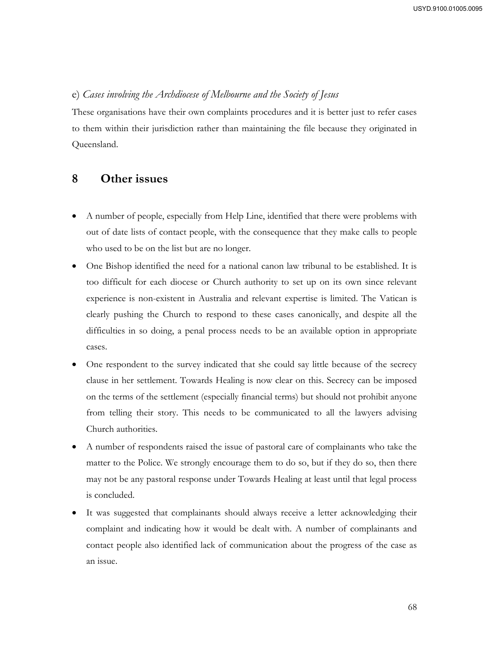# e) *Cases involving the Archdiocese of Melbourne and the Society of Jesus*

These organisations have their own complaints procedures and it is better just to refer cases to them within their jurisdiction rather than maintaining the file because they originated in Queensland.

# **8 Other issues**

- A number of people, especially from Help Line, identified that there were problems with out of date lists of contact people, with the consequence that they make calls to people who used to be on the list but are no longer.
- One Bishop identified the need for a national canon law tribunal to be established. It is too difficult for each diocese or Church authority to set up on its own since relevant experience is non-existent in Australia and relevant expertise is limited. The Vatican is clearly pushing the Church to respond to these cases canonically, and despite all the difficulties in so doing, a penal process needs to be an available option in appropriate cases.
- One respondent to the survey indicated that she could say little because of the secrecy clause in her settlement. Towards Healing is now clear on this. Secrecy can be imposed on the terms of the settlement (especially financial terms) but should not prohibit anyone from telling their story. This needs to be communicated to all the lawyers advising Church authorities.
- A number of respondents raised the issue of pastoral care of complainants who take the matter to the Police. We strongly encourage them to do so, but if they do so, then there may not be any pastoral response under Towards Healing at least until that legal process is concluded.
- It was suggested that complainants should always receive a letter acknowledging their complaint and indicating how it would be dealt with. A number of complainants and contact people also identified lack of communication about the progress of the case as an issue.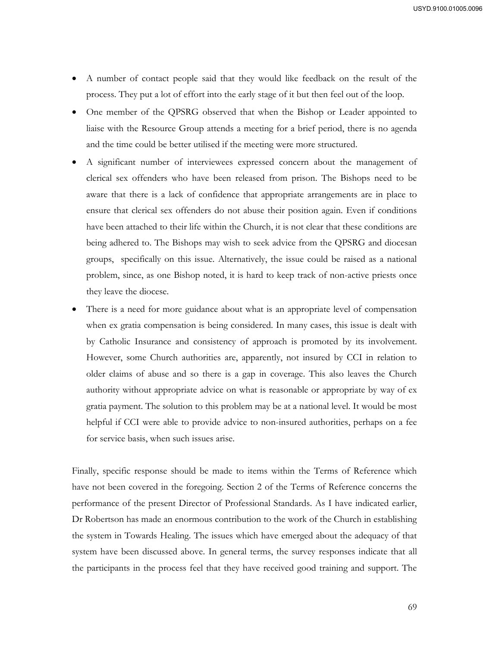- A number of contact people said that they would like feedback on the result of the process. They put a lot of effort into the early stage of it but then feel out of the loop.
- One member of the QPSRG observed that when the Bishop or Leader appointed to liaise with the Resource Group attends a meeting for a brief period, there is no agenda and the time could be better utilised if the meeting were more structured.
- A significant number of interviewees expressed concern about the management of clerical sex offenders who have been released from prison. The Bishops need to be aware that there is a lack of confidence that appropriate arrangements are in place to ensure that clerical sex offenders do not abuse their position again. Even if conditions have been attached to their life within the Church, it is not clear that these conditions are being adhered to. The Bishops may wish to seek advice from the QPSRG and diocesan groups, specifically on this issue. Alternatively, the issue could be raised as a national problem, since, as one Bishop noted, it is hard to keep track of non-active priests once they leave the diocese.
- There is a need for more guidance about what is an appropriate level of compensation when ex gratia compensation is being considered. In many cases, this issue is dealt with by Catholic Insurance and consistency of approach is promoted by its involvement. However, some Church authorities are, apparently, not insured by CCI in relation to older claims of abuse and so there is a gap in coverage. This also leaves the Church authority without appropriate advice on what is reasonable or appropriate by way of ex gratia payment. The solution to this problem may be at a national level. It would be most helpful if CCI were able to provide advice to non-insured authorities, perhaps on a fee for service basis, when such issues arise.

Finally, specific response should be made to items within the Terms of Reference which have not been covered in the foregoing. Section 2 of the Terms of Reference concerns the performance of the present Director of Professional Standards. As I have indicated earlier, Dr Robertson has made an enormous contribution to the work of the Church in establishing the system in Towards Healing. The issues which have emerged about the adequacy of that system have been discussed above. In general terms, the survey responses indicate that all the participants in the process feel that they have received good training and support. The